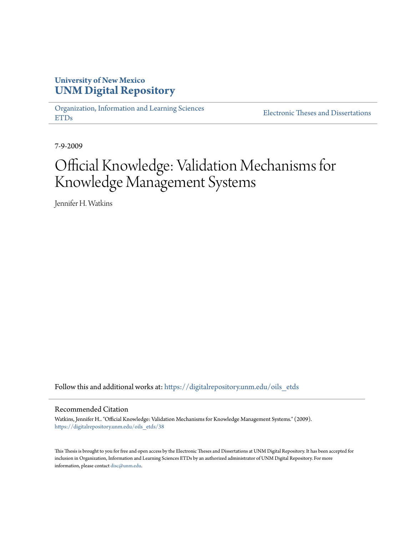## **University of New Mexico [UNM Digital Repository](https://digitalrepository.unm.edu?utm_source=digitalrepository.unm.edu%2Foils_etds%2F38&utm_medium=PDF&utm_campaign=PDFCoverPages)**

[Organization, Information and Learning Sciences](https://digitalrepository.unm.edu/oils_etds?utm_source=digitalrepository.unm.edu%2Foils_etds%2F38&utm_medium=PDF&utm_campaign=PDFCoverPages) [ETDs](https://digitalrepository.unm.edu/oils_etds?utm_source=digitalrepository.unm.edu%2Foils_etds%2F38&utm_medium=PDF&utm_campaign=PDFCoverPages)

[Electronic Theses and Dissertations](https://digitalrepository.unm.edu/etds?utm_source=digitalrepository.unm.edu%2Foils_etds%2F38&utm_medium=PDF&utm_campaign=PDFCoverPages)

7-9-2009

# Official Knowledge: Validation Mechanisms for Knowledge Management Systems

Jennifer H. Watkins

Follow this and additional works at: [https://digitalrepository.unm.edu/oils\\_etds](https://digitalrepository.unm.edu/oils_etds?utm_source=digitalrepository.unm.edu%2Foils_etds%2F38&utm_medium=PDF&utm_campaign=PDFCoverPages)

#### Recommended Citation

Watkins, Jennifer H.. "Official Knowledge: Validation Mechanisms for Knowledge Management Systems." (2009). [https://digitalrepository.unm.edu/oils\\_etds/38](https://digitalrepository.unm.edu/oils_etds/38?utm_source=digitalrepository.unm.edu%2Foils_etds%2F38&utm_medium=PDF&utm_campaign=PDFCoverPages)

This Thesis is brought to you for free and open access by the Electronic Theses and Dissertations at UNM Digital Repository. It has been accepted for inclusion in Organization, Information and Learning Sciences ETDs by an authorized administrator of UNM Digital Repository. For more information, please contact [disc@unm.edu.](mailto:disc@unm.edu)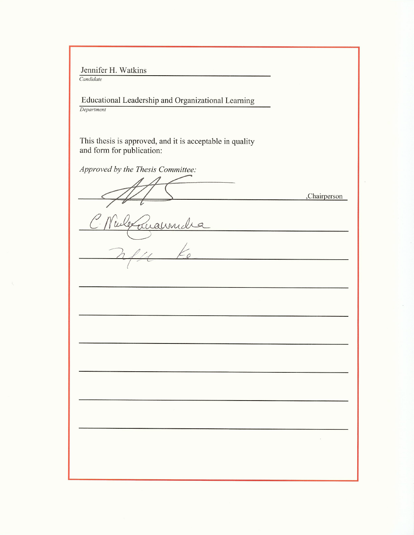Jennifer H. Watkins

Candidate

Educational Leadership and Organizational Learning Department

This thesis is approved, and it is acceptable in quality and form for publication:

Approved by the Thesis Committee:

uannidia  $\frac{1}{2}$ 

,Chairperson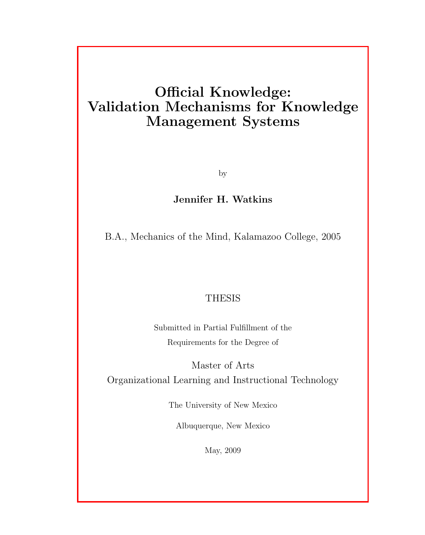## Official Knowledge: Validation Mechanisms for Knowledge Management Systems

by

## Jennifer H. Watkins

B.A., Mechanics of the Mind, Kalamazoo College, 2005

## **THESIS**

Submitted in Partial Fulfillment of the Requirements for the Degree of

Master of Arts Organizational Learning and Instructional Technology

The University of New Mexico

Albuquerque, New Mexico

May, 2009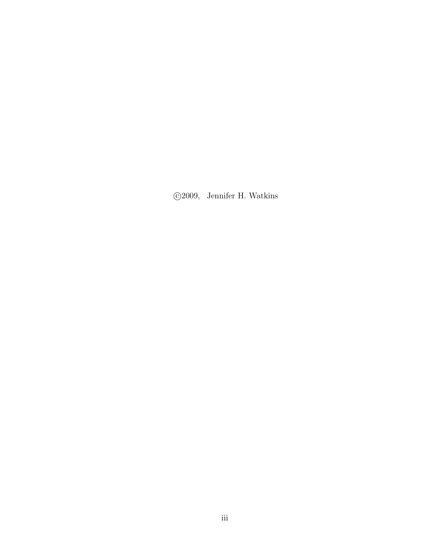c 2009, Jennifer H. Watkins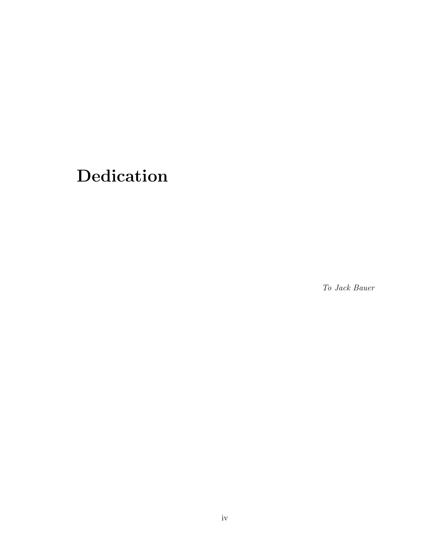# Dedication

To Jack Bauer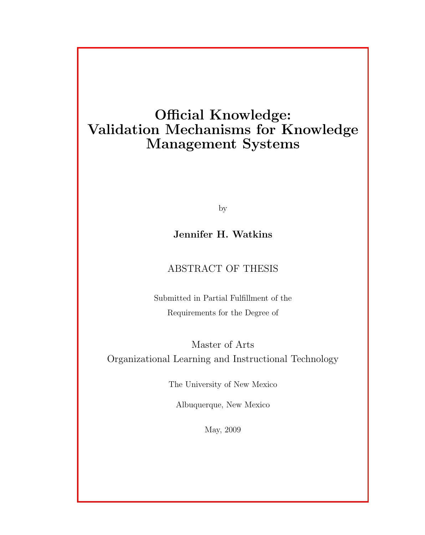## Official Knowledge: Validation Mechanisms for Knowledge Management Systems

by

## Jennifer H. Watkins

## ABSTRACT OF THESIS

Submitted in Partial Fulfillment of the Requirements for the Degree of

Master of Arts Organizational Learning and Instructional Technology

The University of New Mexico

Albuquerque, New Mexico

May, 2009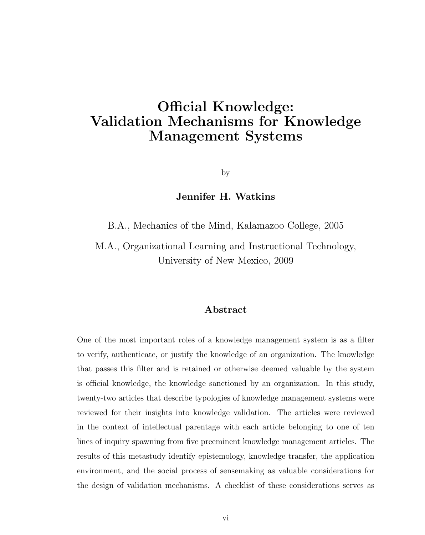## Official Knowledge: Validation Mechanisms for Knowledge Management Systems

by

## Jennifer H. Watkins

B.A., Mechanics of the Mind, Kalamazoo College, 2005

M.A., Organizational Learning and Instructional Technology, University of New Mexico, 2009

### Abstract

One of the most important roles of a knowledge management system is as a filter to verify, authenticate, or justify the knowledge of an organization. The knowledge that passes this filter and is retained or otherwise deemed valuable by the system is official knowledge, the knowledge sanctioned by an organization. In this study, twenty-two articles that describe typologies of knowledge management systems were reviewed for their insights into knowledge validation. The articles were reviewed in the context of intellectual parentage with each article belonging to one of ten lines of inquiry spawning from five preeminent knowledge management articles. The results of this metastudy identify epistemology, knowledge transfer, the application environment, and the social process of sensemaking as valuable considerations for the design of validation mechanisms. A checklist of these considerations serves as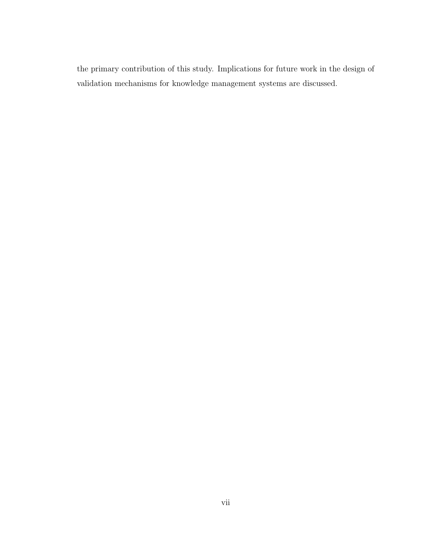the primary contribution of this study. Implications for future work in the design of validation mechanisms for knowledge management systems are discussed.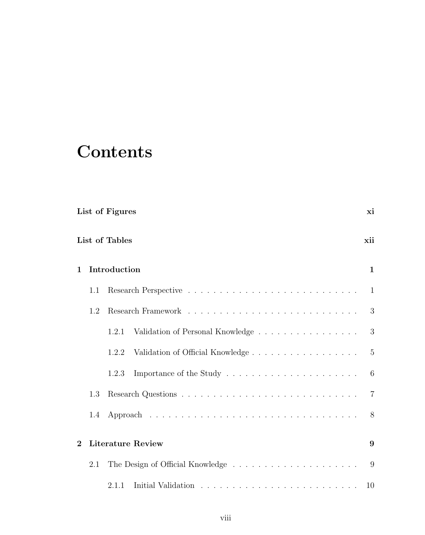# **Contents**

| List of Figures |                |                                           | хi             |  |
|-----------------|----------------|-------------------------------------------|----------------|--|
|                 | List of Tables |                                           |                |  |
| 1               |                | Introduction                              |                |  |
|                 | 1.1            |                                           | 1              |  |
|                 | 1.2            |                                           | 3              |  |
|                 |                | Validation of Personal Knowledge<br>1.2.1 | 3              |  |
|                 |                | Validation of Official Knowledge<br>1.2.2 | $\overline{5}$ |  |
|                 |                | 1.2.3                                     | 6              |  |
|                 | 1.3            |                                           | $\overline{7}$ |  |
|                 | 1.4            |                                           | 8              |  |
| $\mathbf{2}$    |                | <b>Literature Review</b>                  |                |  |
|                 | 2.1            |                                           | 9              |  |
|                 |                | 2.1.1                                     | 10             |  |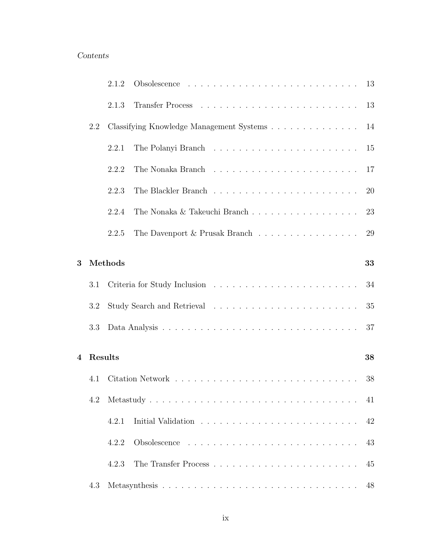## Contents

|                |         | 2.1.2   |                                                                                                     |    |
|----------------|---------|---------|-----------------------------------------------------------------------------------------------------|----|
|                |         | 2.1.3   |                                                                                                     |    |
|                | 2.2     |         | Classifying Knowledge Management Systems 14                                                         |    |
|                |         | 2.2.1   |                                                                                                     |    |
|                |         | 2.2.2   |                                                                                                     |    |
|                |         | 2.2.3   |                                                                                                     | 20 |
|                |         | 2.2.4   |                                                                                                     | 23 |
|                |         | 2.2.5   | The Davenport $\&$ Prusak Branch $\;\ldots\; \ldots\; \ldots\; \ldots\; \ldots\; \ldots\; \ldots\;$ | 29 |
| 3              |         | Methods |                                                                                                     | 33 |
|                |         |         |                                                                                                     |    |
|                | 3.1     |         |                                                                                                     | 34 |
|                | 3.2     |         |                                                                                                     | 35 |
|                | 3.3     |         |                                                                                                     | 37 |
| $\overline{4}$ | Results |         |                                                                                                     | 38 |
|                |         |         |                                                                                                     |    |
|                | 4.1     |         |                                                                                                     | 38 |
|                | 4.2     |         |                                                                                                     |    |
|                |         | 4.2.1   |                                                                                                     | 42 |
|                |         | 4.2.2   |                                                                                                     | 43 |
|                |         | 4.2.3   |                                                                                                     | 45 |
|                | 4.3     |         |                                                                                                     | 48 |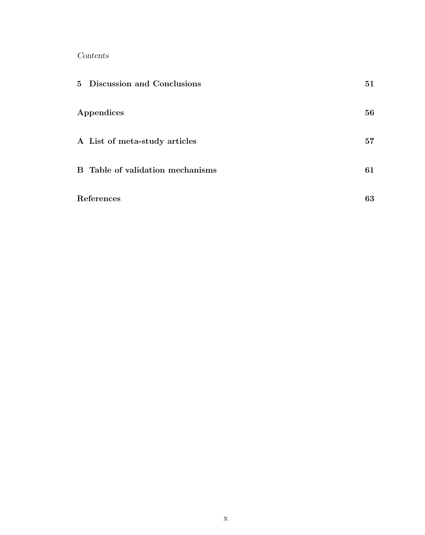Contents

| 5 Discussion and Conclusions            | 51 |
|-----------------------------------------|----|
| Appendices                              | 56 |
| A List of meta-study articles           | 57 |
| <b>B</b> Table of validation mechanisms | 61 |
| References                              | 63 |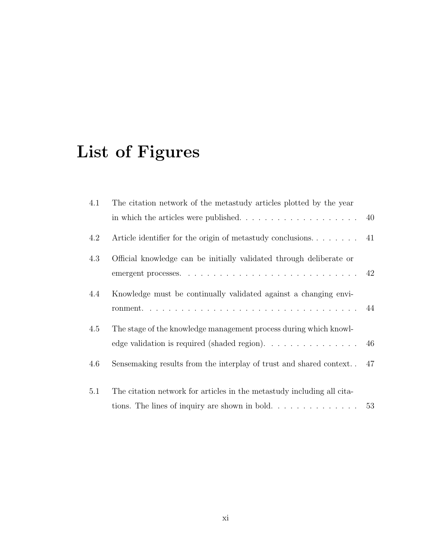# List of Figures

| 4.1 | The citation network of the metastudy articles plotted by the year                                                                                |    |
|-----|---------------------------------------------------------------------------------------------------------------------------------------------------|----|
|     |                                                                                                                                                   | 40 |
| 4.2 |                                                                                                                                                   |    |
| 4.3 | Official knowledge can be initially validated through deliberate or                                                                               |    |
| 4.4 | Knowledge must be continually validated against a changing envi-                                                                                  |    |
| 4.5 | The stage of the knowledge management process during which knowl-<br>edge validation is required (shaded region). $\dots \dots \dots \dots \dots$ |    |
| 4.6 | Sensemaking results from the interplay of trust and shared context                                                                                | 47 |
| 5.1 | The citation network for articles in the metastudy including all cita-                                                                            |    |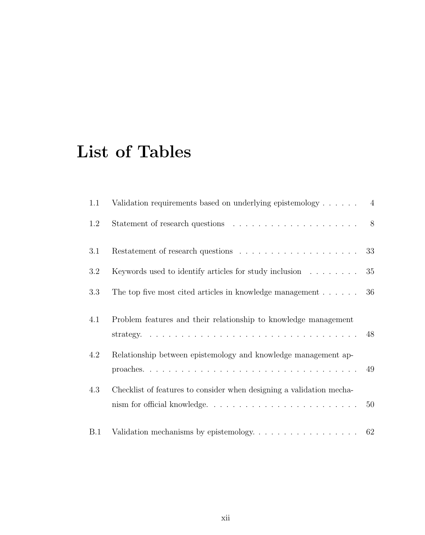# List of Tables

| 1.1        | Validation requirements based on underlying epistemology $\dots \dots$                |    |
|------------|---------------------------------------------------------------------------------------|----|
| 1.2        |                                                                                       |    |
| 3.1        |                                                                                       | 33 |
| 3.2        | Keywords used to identify articles for study inclusion $\dots \dots$                  | 35 |
| 3.3        | The top five most cited articles in knowledge management                              | 36 |
| 4.1        | Problem features and their relationship to knowledge management                       |    |
|            |                                                                                       |    |
| 4.2        | Relationship between epistemology and knowledge management ap-                        |    |
|            |                                                                                       | 49 |
| 4.3        | Checklist of features to consider when designing a validation mecha-                  |    |
|            | nism for official knowledge                                                           | 50 |
| <b>B.1</b> | Validation mechanisms by epistemology. $\ldots \ldots \ldots \ldots \ldots \ldots$ 62 |    |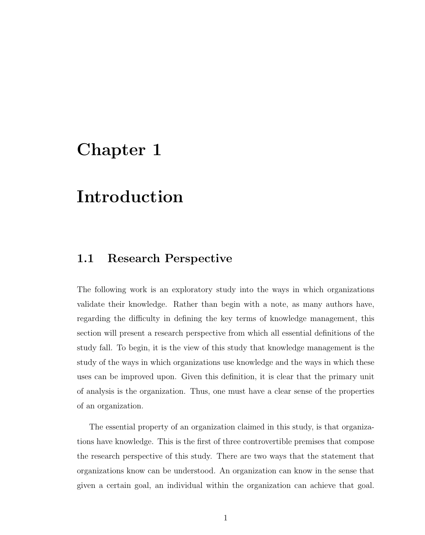## Chapter 1

## Introduction

## 1.1 Research Perspective

The following work is an exploratory study into the ways in which organizations validate their knowledge. Rather than begin with a note, as many authors have, regarding the difficulty in defining the key terms of knowledge management, this section will present a research perspective from which all essential definitions of the study fall. To begin, it is the view of this study that knowledge management is the study of the ways in which organizations use knowledge and the ways in which these uses can be improved upon. Given this definition, it is clear that the primary unit of analysis is the organization. Thus, one must have a clear sense of the properties of an organization.

The essential property of an organization claimed in this study, is that organizations have knowledge. This is the first of three controvertible premises that compose the research perspective of this study. There are two ways that the statement that organizations know can be understood. An organization can know in the sense that given a certain goal, an individual within the organization can achieve that goal.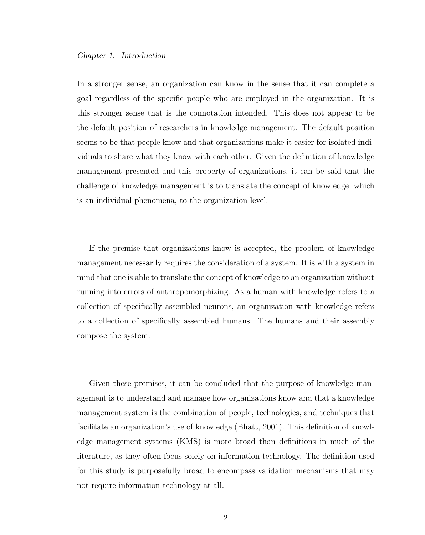In a stronger sense, an organization can know in the sense that it can complete a goal regardless of the specific people who are employed in the organization. It is this stronger sense that is the connotation intended. This does not appear to be the default position of researchers in knowledge management. The default position seems to be that people know and that organizations make it easier for isolated individuals to share what they know with each other. Given the definition of knowledge management presented and this property of organizations, it can be said that the challenge of knowledge management is to translate the concept of knowledge, which is an individual phenomena, to the organization level.

If the premise that organizations know is accepted, the problem of knowledge management necessarily requires the consideration of a system. It is with a system in mind that one is able to translate the concept of knowledge to an organization without running into errors of anthropomorphizing. As a human with knowledge refers to a collection of specifically assembled neurons, an organization with knowledge refers to a collection of specifically assembled humans. The humans and their assembly compose the system.

Given these premises, it can be concluded that the purpose of knowledge management is to understand and manage how organizations know and that a knowledge management system is the combination of people, technologies, and techniques that facilitate an organization's use of knowledge (Bhatt, 2001). This definition of knowledge management systems (KMS) is more broad than definitions in much of the literature, as they often focus solely on information technology. The definition used for this study is purposefully broad to encompass validation mechanisms that may not require information technology at all.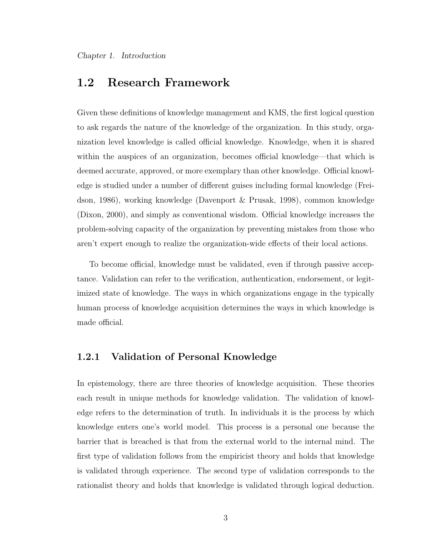## 1.2 Research Framework

Given these definitions of knowledge management and KMS, the first logical question to ask regards the nature of the knowledge of the organization. In this study, organization level knowledge is called official knowledge. Knowledge, when it is shared within the auspices of an organization, becomes official knowledge—that which is deemed accurate, approved, or more exemplary than other knowledge. Official knowledge is studied under a number of different guises including formal knowledge (Freidson, 1986), working knowledge (Davenport & Prusak, 1998), common knowledge (Dixon, 2000), and simply as conventional wisdom. Official knowledge increases the problem-solving capacity of the organization by preventing mistakes from those who aren't expert enough to realize the organization-wide effects of their local actions.

To become official, knowledge must be validated, even if through passive acceptance. Validation can refer to the verification, authentication, endorsement, or legitimized state of knowledge. The ways in which organizations engage in the typically human process of knowledge acquisition determines the ways in which knowledge is made official.

### 1.2.1 Validation of Personal Knowledge

In epistemology, there are three theories of knowledge acquisition. These theories each result in unique methods for knowledge validation. The validation of knowledge refers to the determination of truth. In individuals it is the process by which knowledge enters one's world model. This process is a personal one because the barrier that is breached is that from the external world to the internal mind. The first type of validation follows from the empiricist theory and holds that knowledge is validated through experience. The second type of validation corresponds to the rationalist theory and holds that knowledge is validated through logical deduction.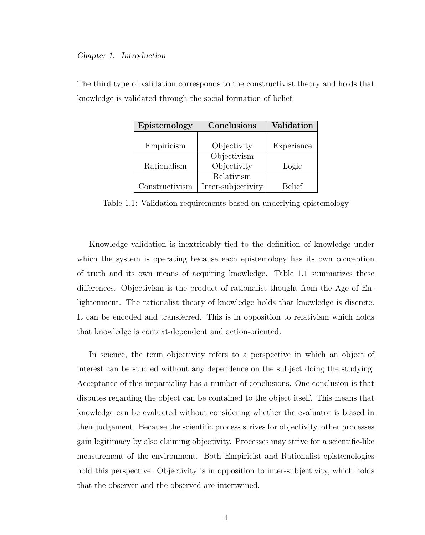| Epistemology   | Conclusions        | Validation    |
|----------------|--------------------|---------------|
|                |                    |               |
| Empiricism     | Objectivity        | Experience    |
|                | Objectivism        |               |
| Rationalism    | Objectivity        | Logic         |
|                | Relativism         |               |
| Constructivism | Inter-subjectivity | <b>Belief</b> |

The third type of validation corresponds to the constructivist theory and holds that knowledge is validated through the social formation of belief.

Table 1.1: Validation requirements based on underlying epistemology

Knowledge validation is inextricably tied to the definition of knowledge under which the system is operating because each epistemology has its own conception of truth and its own means of acquiring knowledge. Table 1.1 summarizes these differences. Objectivism is the product of rationalist thought from the Age of Enlightenment. The rationalist theory of knowledge holds that knowledge is discrete. It can be encoded and transferred. This is in opposition to relativism which holds that knowledge is context-dependent and action-oriented.

In science, the term objectivity refers to a perspective in which an object of interest can be studied without any dependence on the subject doing the studying. Acceptance of this impartiality has a number of conclusions. One conclusion is that disputes regarding the object can be contained to the object itself. This means that knowledge can be evaluated without considering whether the evaluator is biased in their judgement. Because the scientific process strives for objectivity, other processes gain legitimacy by also claiming objectivity. Processes may strive for a scientific-like measurement of the environment. Both Empiricist and Rationalist epistemologies hold this perspective. Objectivity is in opposition to inter-subjectivity, which holds that the observer and the observed are intertwined.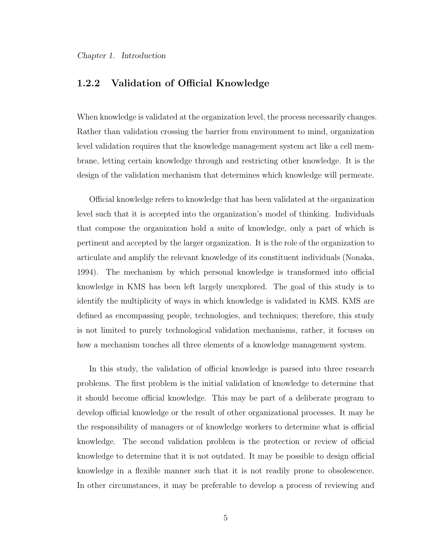## 1.2.2 Validation of Official Knowledge

When knowledge is validated at the organization level, the process necessarily changes. Rather than validation crossing the barrier from environment to mind, organization level validation requires that the knowledge management system act like a cell membrane, letting certain knowledge through and restricting other knowledge. It is the design of the validation mechanism that determines which knowledge will permeate.

Official knowledge refers to knowledge that has been validated at the organization level such that it is accepted into the organization's model of thinking. Individuals that compose the organization hold a suite of knowledge, only a part of which is pertinent and accepted by the larger organization. It is the role of the organization to articulate and amplify the relevant knowledge of its constituent individuals (Nonaka, 1994). The mechanism by which personal knowledge is transformed into official knowledge in KMS has been left largely unexplored. The goal of this study is to identify the multiplicity of ways in which knowledge is validated in KMS. KMS are defined as encompassing people, technologies, and techniques; therefore, this study is not limited to purely technological validation mechanisms, rather, it focuses on how a mechanism touches all three elements of a knowledge management system.

In this study, the validation of official knowledge is parsed into three research problems. The first problem is the initial validation of knowledge to determine that it should become official knowledge. This may be part of a deliberate program to develop official knowledge or the result of other organizational processes. It may be the responsibility of managers or of knowledge workers to determine what is official knowledge. The second validation problem is the protection or review of official knowledge to determine that it is not outdated. It may be possible to design official knowledge in a flexible manner such that it is not readily prone to obsolescence. In other circumstances, it may be preferable to develop a process of reviewing and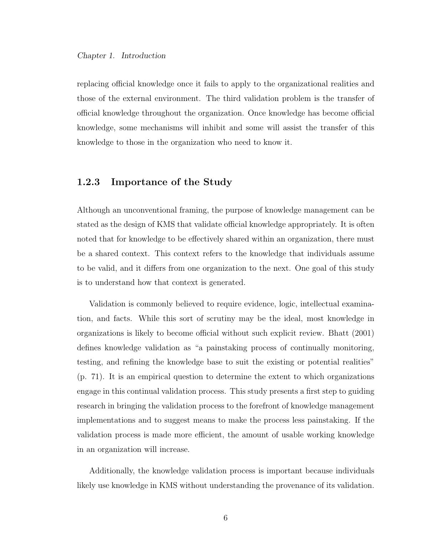replacing official knowledge once it fails to apply to the organizational realities and those of the external environment. The third validation problem is the transfer of official knowledge throughout the organization. Once knowledge has become official knowledge, some mechanisms will inhibit and some will assist the transfer of this knowledge to those in the organization who need to know it.

### 1.2.3 Importance of the Study

Although an unconventional framing, the purpose of knowledge management can be stated as the design of KMS that validate official knowledge appropriately. It is often noted that for knowledge to be effectively shared within an organization, there must be a shared context. This context refers to the knowledge that individuals assume to be valid, and it differs from one organization to the next. One goal of this study is to understand how that context is generated.

Validation is commonly believed to require evidence, logic, intellectual examination, and facts. While this sort of scrutiny may be the ideal, most knowledge in organizations is likely to become official without such explicit review. Bhatt (2001) defines knowledge validation as "a painstaking process of continually monitoring, testing, and refining the knowledge base to suit the existing or potential realities" (p. 71). It is an empirical question to determine the extent to which organizations engage in this continual validation process. This study presents a first step to guiding research in bringing the validation process to the forefront of knowledge management implementations and to suggest means to make the process less painstaking. If the validation process is made more efficient, the amount of usable working knowledge in an organization will increase.

Additionally, the knowledge validation process is important because individuals likely use knowledge in KMS without understanding the provenance of its validation.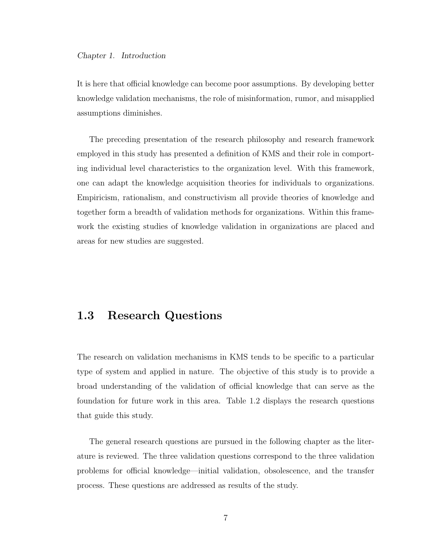It is here that official knowledge can become poor assumptions. By developing better knowledge validation mechanisms, the role of misinformation, rumor, and misapplied assumptions diminishes.

The preceding presentation of the research philosophy and research framework employed in this study has presented a definition of KMS and their role in comporting individual level characteristics to the organization level. With this framework, one can adapt the knowledge acquisition theories for individuals to organizations. Empiricism, rationalism, and constructivism all provide theories of knowledge and together form a breadth of validation methods for organizations. Within this framework the existing studies of knowledge validation in organizations are placed and areas for new studies are suggested.

## 1.3 Research Questions

The research on validation mechanisms in KMS tends to be specific to a particular type of system and applied in nature. The objective of this study is to provide a broad understanding of the validation of official knowledge that can serve as the foundation for future work in this area. Table 1.2 displays the research questions that guide this study.

The general research questions are pursued in the following chapter as the literature is reviewed. The three validation questions correspond to the three validation problems for official knowledge—initial validation, obsolescence, and the transfer process. These questions are addressed as results of the study.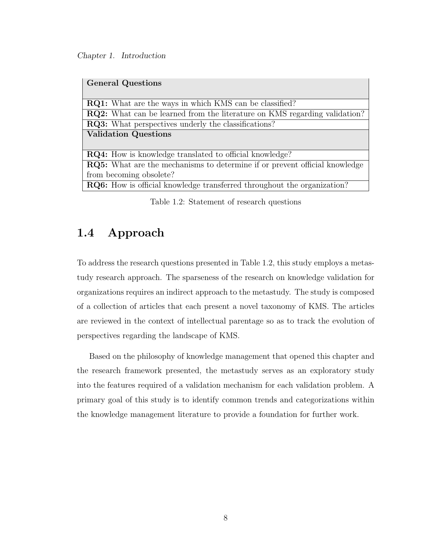Chapter 1. Introduction

| <b>General Questions</b>                                                          |  |  |
|-----------------------------------------------------------------------------------|--|--|
|                                                                                   |  |  |
| <b>RQ1:</b> What are the ways in which KMS can be classified?                     |  |  |
| <b>RQ2:</b> What can be learned from the literature on KMS regarding validation?  |  |  |
| <b>RQ3:</b> What perspectives underly the classifications?                        |  |  |
| <b>Validation Questions</b>                                                       |  |  |
|                                                                                   |  |  |
| <b>RQ4:</b> How is knowledge translated to official knowledge?                    |  |  |
| <b>RQ5:</b> What are the mechanisms to determine if or prevent official knowledge |  |  |
| from becoming obsolete?                                                           |  |  |
| <b>RQ6:</b> How is official knowledge transferred throughout the organization?    |  |  |

Table 1.2: Statement of research questions

## 1.4 Approach

To address the research questions presented in Table 1.2, this study employs a metastudy research approach. The sparseness of the research on knowledge validation for organizations requires an indirect approach to the metastudy. The study is composed of a collection of articles that each present a novel taxonomy of KMS. The articles are reviewed in the context of intellectual parentage so as to track the evolution of perspectives regarding the landscape of KMS.

Based on the philosophy of knowledge management that opened this chapter and the research framework presented, the metastudy serves as an exploratory study into the features required of a validation mechanism for each validation problem. A primary goal of this study is to identify common trends and categorizations within the knowledge management literature to provide a foundation for further work.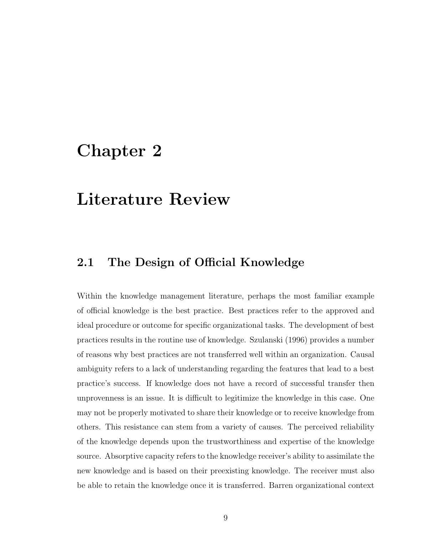## Chapter 2

## Literature Review

## 2.1 The Design of Official Knowledge

Within the knowledge management literature, perhaps the most familiar example of official knowledge is the best practice. Best practices refer to the approved and ideal procedure or outcome for specific organizational tasks. The development of best practices results in the routine use of knowledge. Szulanski (1996) provides a number of reasons why best practices are not transferred well within an organization. Causal ambiguity refers to a lack of understanding regarding the features that lead to a best practice's success. If knowledge does not have a record of successful transfer then unprovenness is an issue. It is difficult to legitimize the knowledge in this case. One may not be properly motivated to share their knowledge or to receive knowledge from others. This resistance can stem from a variety of causes. The perceived reliability of the knowledge depends upon the trustworthiness and expertise of the knowledge source. Absorptive capacity refers to the knowledge receiver's ability to assimilate the new knowledge and is based on their preexisting knowledge. The receiver must also be able to retain the knowledge once it is transferred. Barren organizational context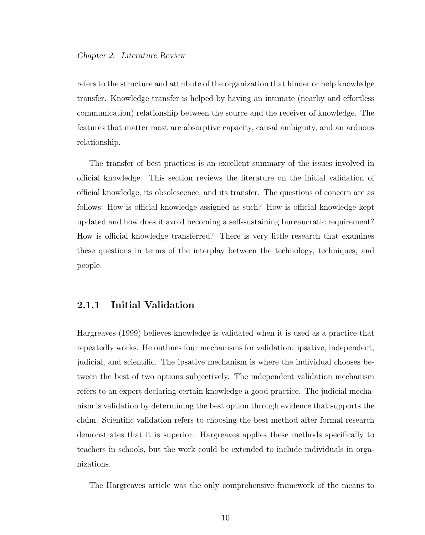refers to the structure and attribute of the organization that hinder or help knowledge transfer. Knowledge transfer is helped by having an intimate (nearby and effortless communication) relationship between the source and the receiver of knowledge. The features that matter most are absorptive capacity, causal ambiguity, and an arduous relationship.

The transfer of best practices is an excellent summary of the issues involved in official knowledge. This section reviews the literature on the initial validation of official knowledge, its obsolescence, and its transfer. The questions of concern are as follows: How is official knowledge assigned as such? How is official knowledge kept updated and how does it avoid becoming a self-sustaining bureaucratic requirement? How is official knowledge transferred? There is very little research that examines these questions in terms of the interplay between the technology, techniques, and people.

### 2.1.1 Initial Validation

Hargreaves (1999) believes knowledge is validated when it is used as a practice that repeatedly works. He outlines four mechanisms for validation: ipsative, independent, judicial, and scientific. The ipsative mechanism is where the individual chooses between the best of two options subjectively. The independent validation mechanism refers to an expert declaring certain knowledge a good practice. The judicial mechanism is validation by determining the best option through evidence that supports the claim. Scientific validation refers to choosing the best method after formal research demonstrates that it is superior. Hargreaves applies these methods specifically to teachers in schools, but the work could be extended to include individuals in organizations.

The Hargreaves article was the only comprehensive framework of the means to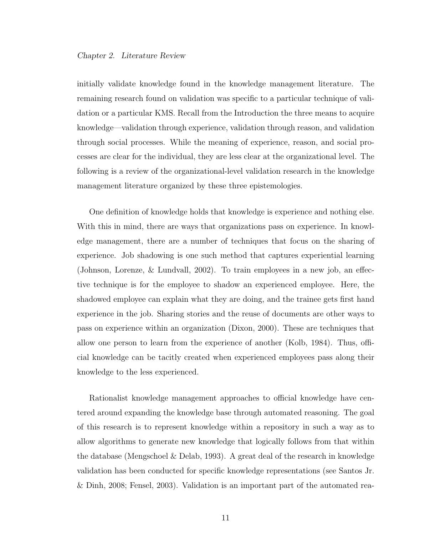initially validate knowledge found in the knowledge management literature. The remaining research found on validation was specific to a particular technique of validation or a particular KMS. Recall from the Introduction the three means to acquire knowledge—validation through experience, validation through reason, and validation through social processes. While the meaning of experience, reason, and social processes are clear for the individual, they are less clear at the organizational level. The following is a review of the organizational-level validation research in the knowledge management literature organized by these three epistemologies.

One definition of knowledge holds that knowledge is experience and nothing else. With this in mind, there are ways that organizations pass on experience. In knowledge management, there are a number of techniques that focus on the sharing of experience. Job shadowing is one such method that captures experiential learning (Johnson, Lorenze, & Lundvall, 2002). To train employees in a new job, an effective technique is for the employee to shadow an experienced employee. Here, the shadowed employee can explain what they are doing, and the trainee gets first hand experience in the job. Sharing stories and the reuse of documents are other ways to pass on experience within an organization (Dixon, 2000). These are techniques that allow one person to learn from the experience of another (Kolb, 1984). Thus, official knowledge can be tacitly created when experienced employees pass along their knowledge to the less experienced.

Rationalist knowledge management approaches to official knowledge have centered around expanding the knowledge base through automated reasoning. The goal of this research is to represent knowledge within a repository in such a way as to allow algorithms to generate new knowledge that logically follows from that within the database (Mengschoel & Delab, 1993). A great deal of the research in knowledge validation has been conducted for specific knowledge representations (see Santos Jr. & Dinh, 2008; Fensel, 2003). Validation is an important part of the automated rea-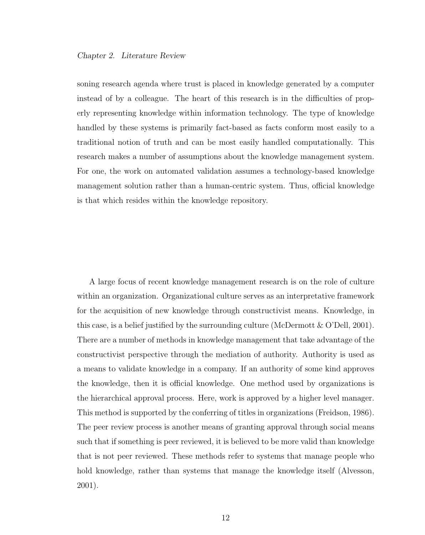soning research agenda where trust is placed in knowledge generated by a computer instead of by a colleague. The heart of this research is in the difficulties of properly representing knowledge within information technology. The type of knowledge handled by these systems is primarily fact-based as facts conform most easily to a traditional notion of truth and can be most easily handled computationally. This research makes a number of assumptions about the knowledge management system. For one, the work on automated validation assumes a technology-based knowledge management solution rather than a human-centric system. Thus, official knowledge is that which resides within the knowledge repository.

A large focus of recent knowledge management research is on the role of culture within an organization. Organizational culture serves as an interpretative framework for the acquisition of new knowledge through constructivist means. Knowledge, in this case, is a belief justified by the surrounding culture (McDermott  $\&$  O'Dell, 2001). There are a number of methods in knowledge management that take advantage of the constructivist perspective through the mediation of authority. Authority is used as a means to validate knowledge in a company. If an authority of some kind approves the knowledge, then it is official knowledge. One method used by organizations is the hierarchical approval process. Here, work is approved by a higher level manager. This method is supported by the conferring of titles in organizations (Freidson, 1986). The peer review process is another means of granting approval through social means such that if something is peer reviewed, it is believed to be more valid than knowledge that is not peer reviewed. These methods refer to systems that manage people who hold knowledge, rather than systems that manage the knowledge itself (Alvesson, 2001).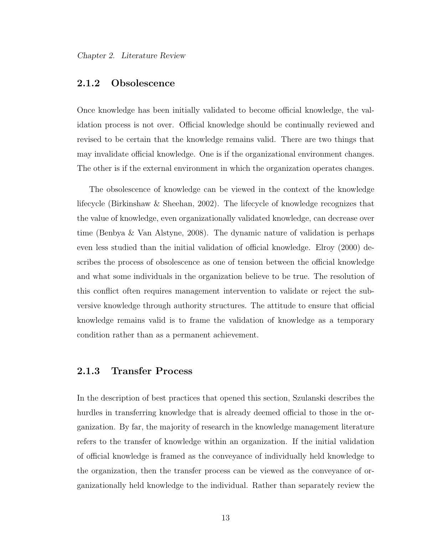### 2.1.2 Obsolescence

Once knowledge has been initially validated to become official knowledge, the validation process is not over. Official knowledge should be continually reviewed and revised to be certain that the knowledge remains valid. There are two things that may invalidate official knowledge. One is if the organizational environment changes. The other is if the external environment in which the organization operates changes.

The obsolescence of knowledge can be viewed in the context of the knowledge lifecycle (Birkinshaw & Sheehan, 2002). The lifecycle of knowledge recognizes that the value of knowledge, even organizationally validated knowledge, can decrease over time (Benbya & Van Alstyne, 2008). The dynamic nature of validation is perhaps even less studied than the initial validation of official knowledge. Elroy (2000) describes the process of obsolescence as one of tension between the official knowledge and what some individuals in the organization believe to be true. The resolution of this conflict often requires management intervention to validate or reject the subversive knowledge through authority structures. The attitude to ensure that official knowledge remains valid is to frame the validation of knowledge as a temporary condition rather than as a permanent achievement.

### 2.1.3 Transfer Process

In the description of best practices that opened this section, Szulanski describes the hurdles in transferring knowledge that is already deemed official to those in the organization. By far, the majority of research in the knowledge management literature refers to the transfer of knowledge within an organization. If the initial validation of official knowledge is framed as the conveyance of individually held knowledge to the organization, then the transfer process can be viewed as the conveyance of organizationally held knowledge to the individual. Rather than separately review the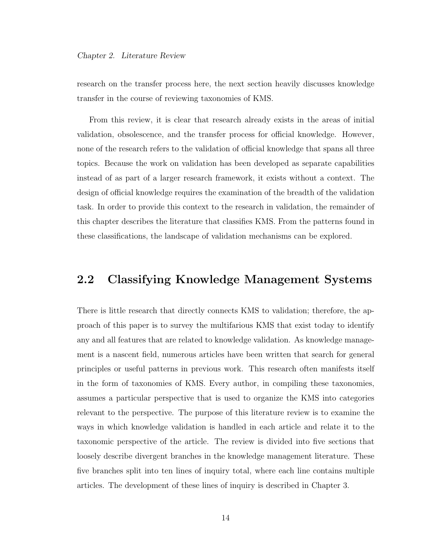research on the transfer process here, the next section heavily discusses knowledge transfer in the course of reviewing taxonomies of KMS.

From this review, it is clear that research already exists in the areas of initial validation, obsolescence, and the transfer process for official knowledge. However, none of the research refers to the validation of official knowledge that spans all three topics. Because the work on validation has been developed as separate capabilities instead of as part of a larger research framework, it exists without a context. The design of official knowledge requires the examination of the breadth of the validation task. In order to provide this context to the research in validation, the remainder of this chapter describes the literature that classifies KMS. From the patterns found in these classifications, the landscape of validation mechanisms can be explored.

## 2.2 Classifying Knowledge Management Systems

There is little research that directly connects KMS to validation; therefore, the approach of this paper is to survey the multifarious KMS that exist today to identify any and all features that are related to knowledge validation. As knowledge management is a nascent field, numerous articles have been written that search for general principles or useful patterns in previous work. This research often manifests itself in the form of taxonomies of KMS. Every author, in compiling these taxonomies, assumes a particular perspective that is used to organize the KMS into categories relevant to the perspective. The purpose of this literature review is to examine the ways in which knowledge validation is handled in each article and relate it to the taxonomic perspective of the article. The review is divided into five sections that loosely describe divergent branches in the knowledge management literature. These five branches split into ten lines of inquiry total, where each line contains multiple articles. The development of these lines of inquiry is described in Chapter 3.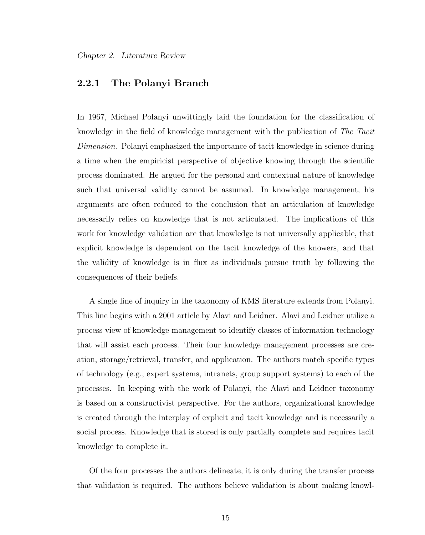## 2.2.1 The Polanyi Branch

In 1967, Michael Polanyi unwittingly laid the foundation for the classification of knowledge in the field of knowledge management with the publication of The Tacit Dimension. Polanyi emphasized the importance of tacit knowledge in science during a time when the empiricist perspective of objective knowing through the scientific process dominated. He argued for the personal and contextual nature of knowledge such that universal validity cannot be assumed. In knowledge management, his arguments are often reduced to the conclusion that an articulation of knowledge necessarily relies on knowledge that is not articulated. The implications of this work for knowledge validation are that knowledge is not universally applicable, that explicit knowledge is dependent on the tacit knowledge of the knowers, and that the validity of knowledge is in flux as individuals pursue truth by following the consequences of their beliefs.

A single line of inquiry in the taxonomy of KMS literature extends from Polanyi. This line begins with a 2001 article by Alavi and Leidner. Alavi and Leidner utilize a process view of knowledge management to identify classes of information technology that will assist each process. Their four knowledge management processes are creation, storage/retrieval, transfer, and application. The authors match specific types of technology (e.g., expert systems, intranets, group support systems) to each of the processes. In keeping with the work of Polanyi, the Alavi and Leidner taxonomy is based on a constructivist perspective. For the authors, organizational knowledge is created through the interplay of explicit and tacit knowledge and is necessarily a social process. Knowledge that is stored is only partially complete and requires tacit knowledge to complete it.

Of the four processes the authors delineate, it is only during the transfer process that validation is required. The authors believe validation is about making knowl-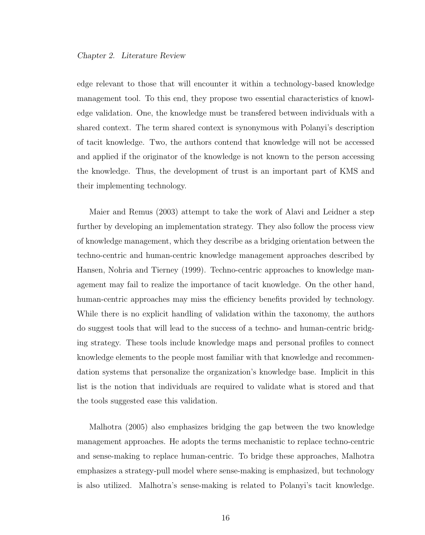edge relevant to those that will encounter it within a technology-based knowledge management tool. To this end, they propose two essential characteristics of knowledge validation. One, the knowledge must be transfered between individuals with a shared context. The term shared context is synonymous with Polanyi's description of tacit knowledge. Two, the authors contend that knowledge will not be accessed and applied if the originator of the knowledge is not known to the person accessing the knowledge. Thus, the development of trust is an important part of KMS and their implementing technology.

Maier and Remus (2003) attempt to take the work of Alavi and Leidner a step further by developing an implementation strategy. They also follow the process view of knowledge management, which they describe as a bridging orientation between the techno-centric and human-centric knowledge management approaches described by Hansen, Nohria and Tierney (1999). Techno-centric approaches to knowledge management may fail to realize the importance of tacit knowledge. On the other hand, human-centric approaches may miss the efficiency benefits provided by technology. While there is no explicit handling of validation within the taxonomy, the authors do suggest tools that will lead to the success of a techno- and human-centric bridging strategy. These tools include knowledge maps and personal profiles to connect knowledge elements to the people most familiar with that knowledge and recommendation systems that personalize the organization's knowledge base. Implicit in this list is the notion that individuals are required to validate what is stored and that the tools suggested ease this validation.

Malhotra (2005) also emphasizes bridging the gap between the two knowledge management approaches. He adopts the terms mechanistic to replace techno-centric and sense-making to replace human-centric. To bridge these approaches, Malhotra emphasizes a strategy-pull model where sense-making is emphasized, but technology is also utilized. Malhotra's sense-making is related to Polanyi's tacit knowledge.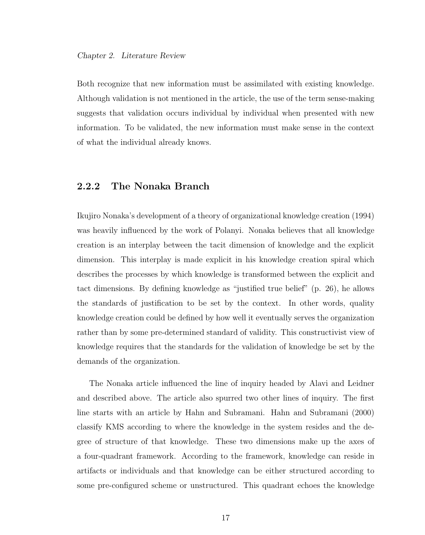Both recognize that new information must be assimilated with existing knowledge. Although validation is not mentioned in the article, the use of the term sense-making suggests that validation occurs individual by individual when presented with new information. To be validated, the new information must make sense in the context of what the individual already knows.

### 2.2.2 The Nonaka Branch

Ikujiro Nonaka's development of a theory of organizational knowledge creation (1994) was heavily influenced by the work of Polanyi. Nonaka believes that all knowledge creation is an interplay between the tacit dimension of knowledge and the explicit dimension. This interplay is made explicit in his knowledge creation spiral which describes the processes by which knowledge is transformed between the explicit and tact dimensions. By defining knowledge as "justified true belief" (p. 26), he allows the standards of justification to be set by the context. In other words, quality knowledge creation could be defined by how well it eventually serves the organization rather than by some pre-determined standard of validity. This constructivist view of knowledge requires that the standards for the validation of knowledge be set by the demands of the organization.

The Nonaka article influenced the line of inquiry headed by Alavi and Leidner and described above. The article also spurred two other lines of inquiry. The first line starts with an article by Hahn and Subramani. Hahn and Subramani (2000) classify KMS according to where the knowledge in the system resides and the degree of structure of that knowledge. These two dimensions make up the axes of a four-quadrant framework. According to the framework, knowledge can reside in artifacts or individuals and that knowledge can be either structured according to some pre-configured scheme or unstructured. This quadrant echoes the knowledge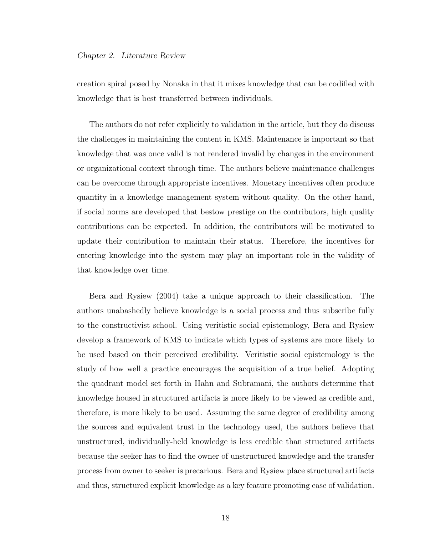creation spiral posed by Nonaka in that it mixes knowledge that can be codified with knowledge that is best transferred between individuals.

The authors do not refer explicitly to validation in the article, but they do discuss the challenges in maintaining the content in KMS. Maintenance is important so that knowledge that was once valid is not rendered invalid by changes in the environment or organizational context through time. The authors believe maintenance challenges can be overcome through appropriate incentives. Monetary incentives often produce quantity in a knowledge management system without quality. On the other hand, if social norms are developed that bestow prestige on the contributors, high quality contributions can be expected. In addition, the contributors will be motivated to update their contribution to maintain their status. Therefore, the incentives for entering knowledge into the system may play an important role in the validity of that knowledge over time.

Bera and Rysiew (2004) take a unique approach to their classification. The authors unabashedly believe knowledge is a social process and thus subscribe fully to the constructivist school. Using veritistic social epistemology, Bera and Rysiew develop a framework of KMS to indicate which types of systems are more likely to be used based on their perceived credibility. Veritistic social epistemology is the study of how well a practice encourages the acquisition of a true belief. Adopting the quadrant model set forth in Hahn and Subramani, the authors determine that knowledge housed in structured artifacts is more likely to be viewed as credible and, therefore, is more likely to be used. Assuming the same degree of credibility among the sources and equivalent trust in the technology used, the authors believe that unstructured, individually-held knowledge is less credible than structured artifacts because the seeker has to find the owner of unstructured knowledge and the transfer process from owner to seeker is precarious. Bera and Rysiew place structured artifacts and thus, structured explicit knowledge as a key feature promoting ease of validation.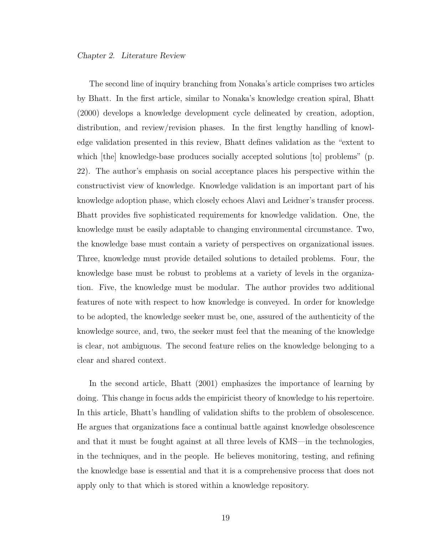The second line of inquiry branching from Nonaka's article comprises two articles by Bhatt. In the first article, similar to Nonaka's knowledge creation spiral, Bhatt (2000) develops a knowledge development cycle delineated by creation, adoption, distribution, and review/revision phases. In the first lengthy handling of knowledge validation presented in this review, Bhatt defines validation as the "extent to which [the] knowledge-base produces socially accepted solutions [to] problems" (p. 22). The author's emphasis on social acceptance places his perspective within the constructivist view of knowledge. Knowledge validation is an important part of his knowledge adoption phase, which closely echoes Alavi and Leidner's transfer process. Bhatt provides five sophisticated requirements for knowledge validation. One, the knowledge must be easily adaptable to changing environmental circumstance. Two, the knowledge base must contain a variety of perspectives on organizational issues. Three, knowledge must provide detailed solutions to detailed problems. Four, the knowledge base must be robust to problems at a variety of levels in the organization. Five, the knowledge must be modular. The author provides two additional features of note with respect to how knowledge is conveyed. In order for knowledge to be adopted, the knowledge seeker must be, one, assured of the authenticity of the knowledge source, and, two, the seeker must feel that the meaning of the knowledge is clear, not ambiguous. The second feature relies on the knowledge belonging to a clear and shared context.

In the second article, Bhatt (2001) emphasizes the importance of learning by doing. This change in focus adds the empiricist theory of knowledge to his repertoire. In this article, Bhatt's handling of validation shifts to the problem of obsolescence. He argues that organizations face a continual battle against knowledge obsolescence and that it must be fought against at all three levels of KMS—in the technologies, in the techniques, and in the people. He believes monitoring, testing, and refining the knowledge base is essential and that it is a comprehensive process that does not apply only to that which is stored within a knowledge repository.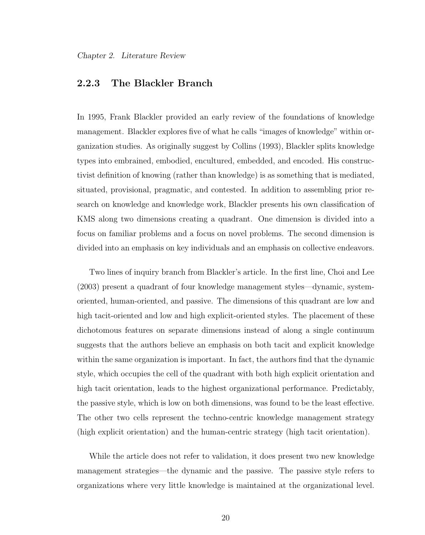## 2.2.3 The Blackler Branch

In 1995, Frank Blackler provided an early review of the foundations of knowledge management. Blackler explores five of what he calls "images of knowledge" within organization studies. As originally suggest by Collins (1993), Blackler splits knowledge types into embrained, embodied, encultured, embedded, and encoded. His constructivist definition of knowing (rather than knowledge) is as something that is mediated, situated, provisional, pragmatic, and contested. In addition to assembling prior research on knowledge and knowledge work, Blackler presents his own classification of KMS along two dimensions creating a quadrant. One dimension is divided into a focus on familiar problems and a focus on novel problems. The second dimension is divided into an emphasis on key individuals and an emphasis on collective endeavors.

Two lines of inquiry branch from Blackler's article. In the first line, Choi and Lee (2003) present a quadrant of four knowledge management styles—dynamic, systemoriented, human-oriented, and passive. The dimensions of this quadrant are low and high tacit-oriented and low and high explicit-oriented styles. The placement of these dichotomous features on separate dimensions instead of along a single continuum suggests that the authors believe an emphasis on both tacit and explicit knowledge within the same organization is important. In fact, the authors find that the dynamic style, which occupies the cell of the quadrant with both high explicit orientation and high tacit orientation, leads to the highest organizational performance. Predictably, the passive style, which is low on both dimensions, was found to be the least effective. The other two cells represent the techno-centric knowledge management strategy (high explicit orientation) and the human-centric strategy (high tacit orientation).

While the article does not refer to validation, it does present two new knowledge management strategies—the dynamic and the passive. The passive style refers to organizations where very little knowledge is maintained at the organizational level.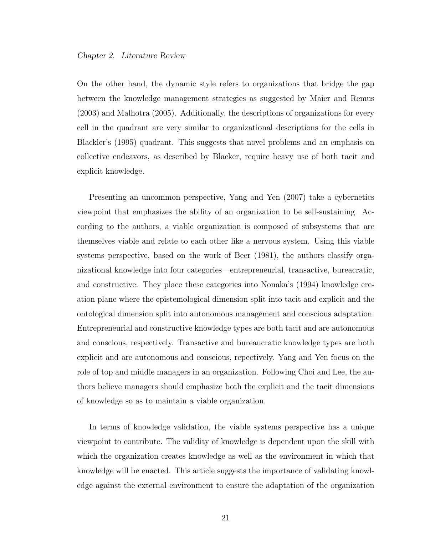On the other hand, the dynamic style refers to organizations that bridge the gap between the knowledge management strategies as suggested by Maier and Remus (2003) and Malhotra (2005). Additionally, the descriptions of organizations for every cell in the quadrant are very similar to organizational descriptions for the cells in Blackler's (1995) quadrant. This suggests that novel problems and an emphasis on collective endeavors, as described by Blacker, require heavy use of both tacit and explicit knowledge.

Presenting an uncommon perspective, Yang and Yen (2007) take a cybernetics viewpoint that emphasizes the ability of an organization to be self-sustaining. According to the authors, a viable organization is composed of subsystems that are themselves viable and relate to each other like a nervous system. Using this viable systems perspective, based on the work of Beer (1981), the authors classify organizational knowledge into four categories—entrepreneurial, transactive, bureacratic, and constructive. They place these categories into Nonaka's (1994) knowledge creation plane where the epistemological dimension split into tacit and explicit and the ontological dimension split into autonomous management and conscious adaptation. Entrepreneurial and constructive knowledge types are both tacit and are autonomous and conscious, respectively. Transactive and bureaucratic knowledge types are both explicit and are autonomous and conscious, repectively. Yang and Yen focus on the role of top and middle managers in an organization. Following Choi and Lee, the authors believe managers should emphasize both the explicit and the tacit dimensions of knowledge so as to maintain a viable organization.

In terms of knowledge validation, the viable systems perspective has a unique viewpoint to contribute. The validity of knowledge is dependent upon the skill with which the organization creates knowledge as well as the environment in which that knowledge will be enacted. This article suggests the importance of validating knowledge against the external environment to ensure the adaptation of the organization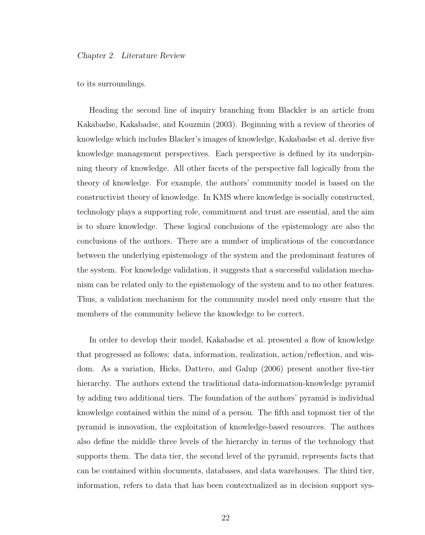to its surroundings.

Heading the second line of inquiry branching from Blackler is an article from Kakabadse, Kakabadse, and Kouzmin (2003). Beginning with a review of theories of knowledge which includes Blacker's images of knowledge, Kakabadse et al. derive five knowledge management perspectives. Each perspective is defined by its underpinning theory of knowledge. All other facets of the perspective fall logically from the theory of knowledge. For example, the authors' community model is based on the constructivist theory of knowledge. In KMS where knowledge is socially constructed, technology plays a supporting role, commitment and trust are essential, and the aim is to share knowledge. These logical conclusions of the epistemology are also the conclusions of the authors. There are a number of implications of the concordance between the underlying epistemology of the system and the predominant features of the system. For knowledge validation, it suggests that a successful validation mechanism can be related only to the epistemology of the system and to no other features. Thus, a validation mechanism for the community model need only ensure that the members of the community believe the knowledge to be correct.

In order to develop their model, Kakabadse et al. presented a flow of knowledge that progressed as follows: data, information, realization, action/reflection, and wisdom. As a variation, Hicks, Dattero, and Galup (2006) present another five-tier hierarchy. The authors extend the traditional data-information-knowledge pyramid by adding two additional tiers. The foundation of the authors' pyramid is individual knowledge contained within the mind of a person. The fifth and topmost tier of the pyramid is innovation, the exploitation of knowledge-based resources. The authors also define the middle three levels of the hierarchy in terms of the technology that supports them. The data tier, the second level of the pyramid, represents facts that can be contained within documents, databases, and data warehouses. The third tier, information, refers to data that has been contextualized as in decision support sys-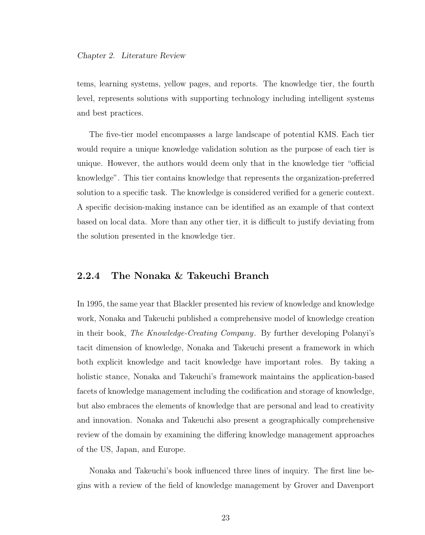tems, learning systems, yellow pages, and reports. The knowledge tier, the fourth level, represents solutions with supporting technology including intelligent systems and best practices.

The five-tier model encompasses a large landscape of potential KMS. Each tier would require a unique knowledge validation solution as the purpose of each tier is unique. However, the authors would deem only that in the knowledge tier "official knowledge". This tier contains knowledge that represents the organization-preferred solution to a specific task. The knowledge is considered verified for a generic context. A specific decision-making instance can be identified as an example of that context based on local data. More than any other tier, it is difficult to justify deviating from the solution presented in the knowledge tier.

## 2.2.4 The Nonaka & Takeuchi Branch

In 1995, the same year that Blackler presented his review of knowledge and knowledge work, Nonaka and Takeuchi published a comprehensive model of knowledge creation in their book, The Knowledge-Creating Company. By further developing Polanyi's tacit dimension of knowledge, Nonaka and Takeuchi present a framework in which both explicit knowledge and tacit knowledge have important roles. By taking a holistic stance, Nonaka and Takeuchi's framework maintains the application-based facets of knowledge management including the codification and storage of knowledge, but also embraces the elements of knowledge that are personal and lead to creativity and innovation. Nonaka and Takeuchi also present a geographically comprehensive review of the domain by examining the differing knowledge management approaches of the US, Japan, and Europe.

Nonaka and Takeuchi's book influenced three lines of inquiry. The first line begins with a review of the field of knowledge management by Grover and Davenport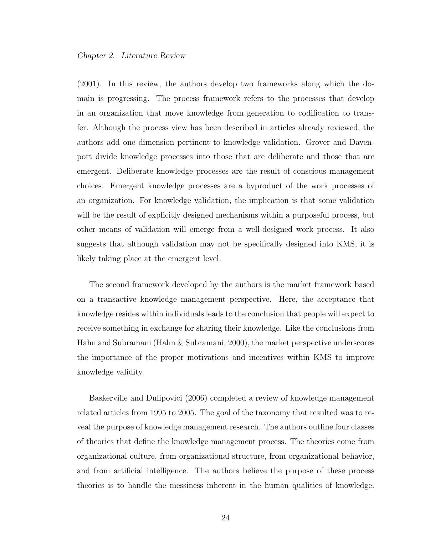(2001). In this review, the authors develop two frameworks along which the domain is progressing. The process framework refers to the processes that develop in an organization that move knowledge from generation to codification to transfer. Although the process view has been described in articles already reviewed, the authors add one dimension pertinent to knowledge validation. Grover and Davenport divide knowledge processes into those that are deliberate and those that are emergent. Deliberate knowledge processes are the result of conscious management choices. Emergent knowledge processes are a byproduct of the work processes of an organization. For knowledge validation, the implication is that some validation will be the result of explicitly designed mechanisms within a purposeful process, but other means of validation will emerge from a well-designed work process. It also suggests that although validation may not be specifically designed into KMS, it is likely taking place at the emergent level.

The second framework developed by the authors is the market framework based on a transactive knowledge management perspective. Here, the acceptance that knowledge resides within individuals leads to the conclusion that people will expect to receive something in exchange for sharing their knowledge. Like the conclusions from Hahn and Subramani (Hahn & Subramani, 2000), the market perspective underscores the importance of the proper motivations and incentives within KMS to improve knowledge validity.

Baskerville and Dulipovici (2006) completed a review of knowledge management related articles from 1995 to 2005. The goal of the taxonomy that resulted was to reveal the purpose of knowledge management research. The authors outline four classes of theories that define the knowledge management process. The theories come from organizational culture, from organizational structure, from organizational behavior, and from artificial intelligence. The authors believe the purpose of these process theories is to handle the messiness inherent in the human qualities of knowledge.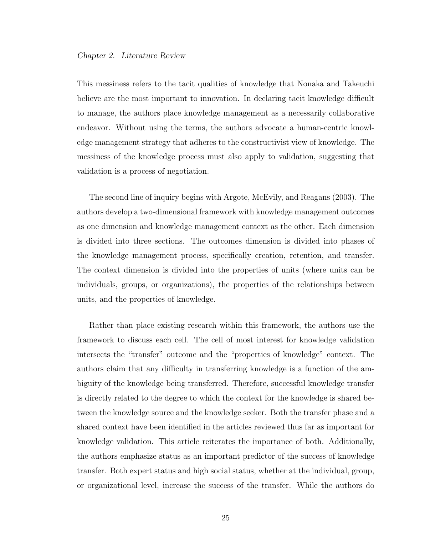This messiness refers to the tacit qualities of knowledge that Nonaka and Takeuchi believe are the most important to innovation. In declaring tacit knowledge difficult to manage, the authors place knowledge management as a necessarily collaborative endeavor. Without using the terms, the authors advocate a human-centric knowledge management strategy that adheres to the constructivist view of knowledge. The messiness of the knowledge process must also apply to validation, suggesting that validation is a process of negotiation.

The second line of inquiry begins with Argote, McEvily, and Reagans (2003). The authors develop a two-dimensional framework with knowledge management outcomes as one dimension and knowledge management context as the other. Each dimension is divided into three sections. The outcomes dimension is divided into phases of the knowledge management process, specifically creation, retention, and transfer. The context dimension is divided into the properties of units (where units can be individuals, groups, or organizations), the properties of the relationships between units, and the properties of knowledge.

Rather than place existing research within this framework, the authors use the framework to discuss each cell. The cell of most interest for knowledge validation intersects the "transfer" outcome and the "properties of knowledge" context. The authors claim that any difficulty in transferring knowledge is a function of the ambiguity of the knowledge being transferred. Therefore, successful knowledge transfer is directly related to the degree to which the context for the knowledge is shared between the knowledge source and the knowledge seeker. Both the transfer phase and a shared context have been identified in the articles reviewed thus far as important for knowledge validation. This article reiterates the importance of both. Additionally, the authors emphasize status as an important predictor of the success of knowledge transfer. Both expert status and high social status, whether at the individual, group, or organizational level, increase the success of the transfer. While the authors do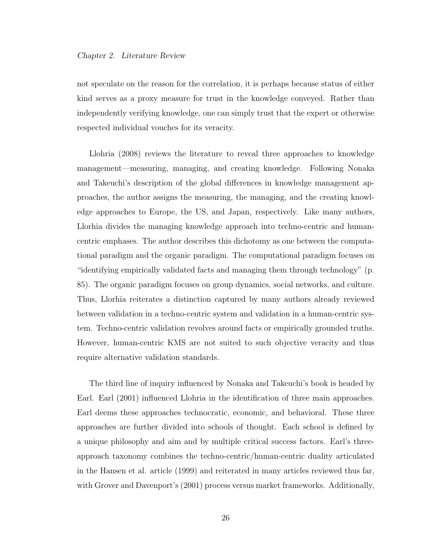not speculate on the reason for the correlation, it is perhaps because status of either kind serves as a proxy measure for trust in the knowledge conveyed. Rather than independently verifying knowledge, one can simply trust that the expert or otherwise respected individual vouches for its veracity.

Llohria (2008) reviews the literature to reveal three approaches to knowledge management—measuring, managing, and creating knowledge. Following Nonaka and Takeuchi's description of the global differences in knowledge management approaches, the author assigns the measuring, the managing, and the creating knowledge approaches to Europe, the US, and Japan, respectively. Like many authors, Llorhia divides the managing knowledge approach into techno-centric and humancentric emphases. The author describes this dichotomy as one between the computational paradigm and the organic paradigm. The computational paradigm focuses on "identifying empirically validated facts and managing them through technology" (p. 85). The organic paradigm focuses on group dynamics, social networks, and culture. Thus, Llorhia reiterates a distinction captured by many authors already reviewed between validation in a techno-centric system and validation in a human-centric system. Techno-centric validation revolves around facts or empirically grounded truths. However, human-centric KMS are not suited to such objective veracity and thus require alternative validation standards.

The third line of inquiry influenced by Nonaka and Takeuchi's book is headed by Earl. Earl (2001) influenced Llohria in the identification of three main approaches. Earl deems these approaches technocratic, economic, and behavioral. These three approaches are further divided into schools of thought. Each school is defined by a unique philosophy and aim and by multiple critical success factors. Earl's threeapproach taxonomy combines the techno-centric/human-centric duality articulated in the Hansen et al. article (1999) and reiterated in many articles reviewed thus far, with Grover and Davenport's (2001) process versus market frameworks. Additionally,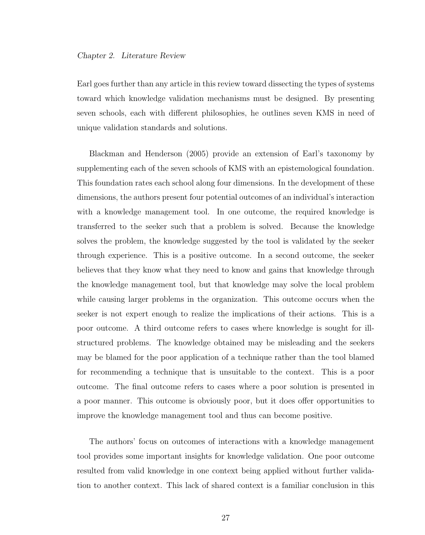Earl goes further than any article in this review toward dissecting the types of systems toward which knowledge validation mechanisms must be designed. By presenting seven schools, each with different philosophies, he outlines seven KMS in need of unique validation standards and solutions.

Blackman and Henderson (2005) provide an extension of Earl's taxonomy by supplementing each of the seven schools of KMS with an epistemological foundation. This foundation rates each school along four dimensions. In the development of these dimensions, the authors present four potential outcomes of an individual's interaction with a knowledge management tool. In one outcome, the required knowledge is transferred to the seeker such that a problem is solved. Because the knowledge solves the problem, the knowledge suggested by the tool is validated by the seeker through experience. This is a positive outcome. In a second outcome, the seeker believes that they know what they need to know and gains that knowledge through the knowledge management tool, but that knowledge may solve the local problem while causing larger problems in the organization. This outcome occurs when the seeker is not expert enough to realize the implications of their actions. This is a poor outcome. A third outcome refers to cases where knowledge is sought for illstructured problems. The knowledge obtained may be misleading and the seekers may be blamed for the poor application of a technique rather than the tool blamed for recommending a technique that is unsuitable to the context. This is a poor outcome. The final outcome refers to cases where a poor solution is presented in a poor manner. This outcome is obviously poor, but it does offer opportunities to improve the knowledge management tool and thus can become positive.

The authors' focus on outcomes of interactions with a knowledge management tool provides some important insights for knowledge validation. One poor outcome resulted from valid knowledge in one context being applied without further validation to another context. This lack of shared context is a familiar conclusion in this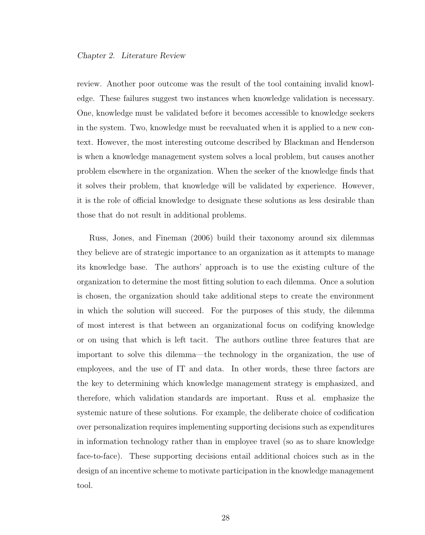review. Another poor outcome was the result of the tool containing invalid knowledge. These failures suggest two instances when knowledge validation is necessary. One, knowledge must be validated before it becomes accessible to knowledge seekers in the system. Two, knowledge must be reevaluated when it is applied to a new context. However, the most interesting outcome described by Blackman and Henderson is when a knowledge management system solves a local problem, but causes another problem elsewhere in the organization. When the seeker of the knowledge finds that it solves their problem, that knowledge will be validated by experience. However, it is the role of official knowledge to designate these solutions as less desirable than those that do not result in additional problems.

Russ, Jones, and Fineman (2006) build their taxonomy around six dilemmas they believe are of strategic importance to an organization as it attempts to manage its knowledge base. The authors' approach is to use the existing culture of the organization to determine the most fitting solution to each dilemma. Once a solution is chosen, the organization should take additional steps to create the environment in which the solution will succeed. For the purposes of this study, the dilemma of most interest is that between an organizational focus on codifying knowledge or on using that which is left tacit. The authors outline three features that are important to solve this dilemma—the technology in the organization, the use of employees, and the use of IT and data. In other words, these three factors are the key to determining which knowledge management strategy is emphasized, and therefore, which validation standards are important. Russ et al. emphasize the systemic nature of these solutions. For example, the deliberate choice of codification over personalization requires implementing supporting decisions such as expenditures in information technology rather than in employee travel (so as to share knowledge face-to-face). These supporting decisions entail additional choices such as in the design of an incentive scheme to motivate participation in the knowledge management tool.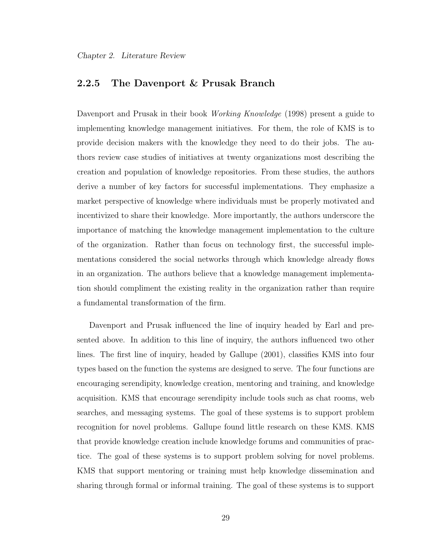# 2.2.5 The Davenport & Prusak Branch

Davenport and Prusak in their book *Working Knowledge* (1998) present a guide to implementing knowledge management initiatives. For them, the role of KMS is to provide decision makers with the knowledge they need to do their jobs. The authors review case studies of initiatives at twenty organizations most describing the creation and population of knowledge repositories. From these studies, the authors derive a number of key factors for successful implementations. They emphasize a market perspective of knowledge where individuals must be properly motivated and incentivized to share their knowledge. More importantly, the authors underscore the importance of matching the knowledge management implementation to the culture of the organization. Rather than focus on technology first, the successful implementations considered the social networks through which knowledge already flows in an organization. The authors believe that a knowledge management implementation should compliment the existing reality in the organization rather than require a fundamental transformation of the firm.

Davenport and Prusak influenced the line of inquiry headed by Earl and presented above. In addition to this line of inquiry, the authors influenced two other lines. The first line of inquiry, headed by Gallupe (2001), classifies KMS into four types based on the function the systems are designed to serve. The four functions are encouraging serendipity, knowledge creation, mentoring and training, and knowledge acquisition. KMS that encourage serendipity include tools such as chat rooms, web searches, and messaging systems. The goal of these systems is to support problem recognition for novel problems. Gallupe found little research on these KMS. KMS that provide knowledge creation include knowledge forums and communities of practice. The goal of these systems is to support problem solving for novel problems. KMS that support mentoring or training must help knowledge dissemination and sharing through formal or informal training. The goal of these systems is to support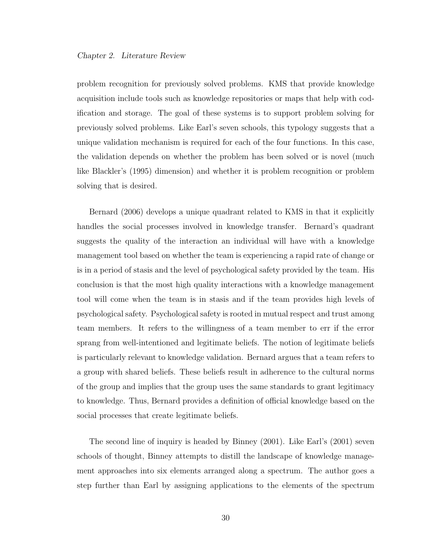problem recognition for previously solved problems. KMS that provide knowledge acquisition include tools such as knowledge repositories or maps that help with codification and storage. The goal of these systems is to support problem solving for previously solved problems. Like Earl's seven schools, this typology suggests that a unique validation mechanism is required for each of the four functions. In this case, the validation depends on whether the problem has been solved or is novel (much like Blackler's (1995) dimension) and whether it is problem recognition or problem solving that is desired.

Bernard (2006) develops a unique quadrant related to KMS in that it explicitly handles the social processes involved in knowledge transfer. Bernard's quadrant suggests the quality of the interaction an individual will have with a knowledge management tool based on whether the team is experiencing a rapid rate of change or is in a period of stasis and the level of psychological safety provided by the team. His conclusion is that the most high quality interactions with a knowledge management tool will come when the team is in stasis and if the team provides high levels of psychological safety. Psychological safety is rooted in mutual respect and trust among team members. It refers to the willingness of a team member to err if the error sprang from well-intentioned and legitimate beliefs. The notion of legitimate beliefs is particularly relevant to knowledge validation. Bernard argues that a team refers to a group with shared beliefs. These beliefs result in adherence to the cultural norms of the group and implies that the group uses the same standards to grant legitimacy to knowledge. Thus, Bernard provides a definition of official knowledge based on the social processes that create legitimate beliefs.

The second line of inquiry is headed by Binney (2001). Like Earl's (2001) seven schools of thought, Binney attempts to distill the landscape of knowledge management approaches into six elements arranged along a spectrum. The author goes a step further than Earl by assigning applications to the elements of the spectrum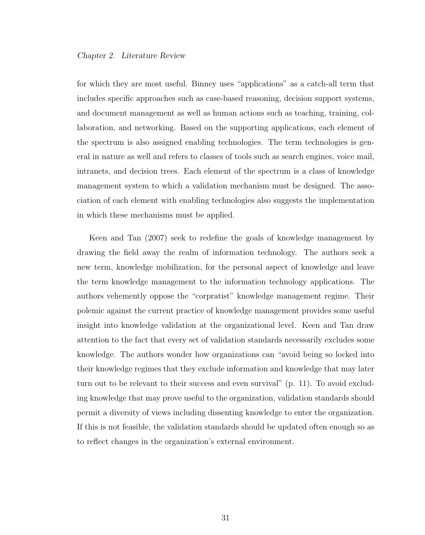for which they are most useful. Binney uses "applications" as a catch-all term that includes specific approaches such as case-based reasoning, decision support systems, and document management as well as human actions such as teaching, training, collaboration, and networking. Based on the supporting applications, each element of the spectrum is also assigned enabling technologies. The term technologies is general in nature as well and refers to classes of tools such as search engines, voice mail, intranets, and decision trees. Each element of the spectrum is a class of knowledge management system to which a validation mechanism must be designed. The association of each element with enabling technologies also suggests the implementation in which these mechanisms must be applied.

Keen and Tan (2007) seek to redefine the goals of knowledge management by drawing the field away the realm of information technology. The authors seek a new term, knowledge mobilization, for the personal aspect of knowledge and leave the term knowledge management to the information technology applications. The authors vehemently oppose the "corpratist" knowledge management regime. Their polemic against the current practice of knowledge management provides some useful insight into knowledge validation at the organizational level. Keen and Tan draw attention to the fact that every set of validation standards necessarily excludes some knowledge. The authors wonder how organizations can "avoid being so locked into their knowledge regimes that they exclude information and knowledge that may later turn out to be relevant to their success and even survival" (p. 11). To avoid excluding knowledge that may prove useful to the organization, validation standards should permit a diversity of views including dissenting knowledge to enter the organization. If this is not feasible, the validation standards should be updated often enough so as to reflect changes in the organization's external environment.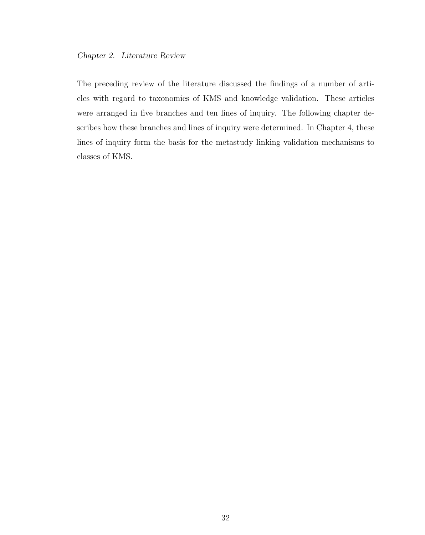The preceding review of the literature discussed the findings of a number of articles with regard to taxonomies of KMS and knowledge validation. These articles were arranged in five branches and ten lines of inquiry. The following chapter describes how these branches and lines of inquiry were determined. In Chapter 4, these lines of inquiry form the basis for the metastudy linking validation mechanisms to classes of KMS.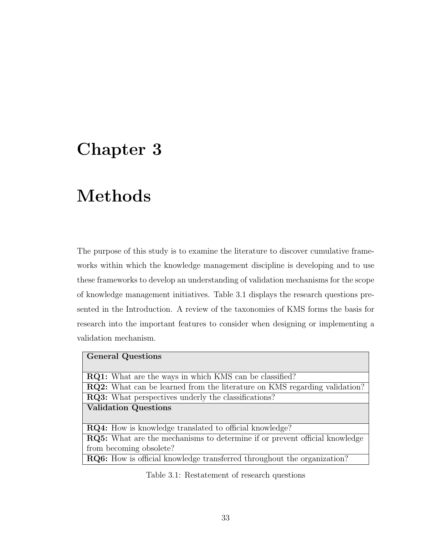# Chapter 3

# Methods

The purpose of this study is to examine the literature to discover cumulative frameworks within which the knowledge management discipline is developing and to use these frameworks to develop an understanding of validation mechanisms for the scope of knowledge management initiatives. Table 3.1 displays the research questions presented in the Introduction. A review of the taxonomies of KMS forms the basis for research into the important features to consider when designing or implementing a validation mechanism.

| <b>General Questions</b>                                                          |
|-----------------------------------------------------------------------------------|
|                                                                                   |
| <b>RQ1:</b> What are the ways in which KMS can be classified?                     |
| <b>RQ2:</b> What can be learned from the literature on KMS regarding validation?  |
| <b>RQ3:</b> What perspectives underly the classifications?                        |
| <b>Validation Questions</b>                                                       |
|                                                                                   |
| <b>RQ4:</b> How is knowledge translated to official knowledge?                    |
| <b>RQ5:</b> What are the mechanisms to determine if or prevent official knowledge |
| from becoming obsolete?                                                           |
| <b>RQ6:</b> How is official knowledge transferred throughout the organization?    |

Table 3.1: Restatement of research questions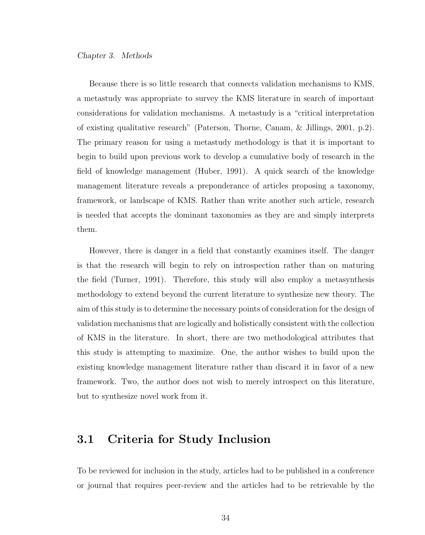### Chapter 3. Methods

Because there is so little research that connects validation mechanisms to KMS, a metastudy was appropriate to survey the KMS literature in search of important considerations for validation mechanisms. A metastudy is a "critical interpretation of existing qualitative research" (Paterson, Thorne, Canam, & Jillings, 2001, p.2). The primary reason for using a metastudy methodology is that it is important to begin to build upon previous work to develop a cumulative body of research in the field of knowledge management (Huber, 1991). A quick search of the knowledge management literature reveals a preponderance of articles proposing a taxonomy, framework, or landscape of KMS. Rather than write another such article, research is needed that accepts the dominant taxonomies as they are and simply interprets them.

However, there is danger in a field that constantly examines itself. The danger is that the research will begin to rely on introspection rather than on maturing the field (Turner, 1991). Therefore, this study will also employ a metasynthesis methodology to extend beyond the current literature to synthesize new theory. The aim of this study is to determine the necessary points of consideration for the design of validation mechanisms that are logically and holistically consistent with the collection of KMS in the literature. In short, there are two methodological attributes that this study is attempting to maximize. One, the author wishes to build upon the existing knowledge management literature rather than discard it in favor of a new framework. Two, the author does not wish to merely introspect on this literature, but to synthesize novel work from it.

# 3.1 Criteria for Study Inclusion

To be reviewed for inclusion in the study, articles had to be published in a conference or journal that requires peer-review and the articles had to be retrievable by the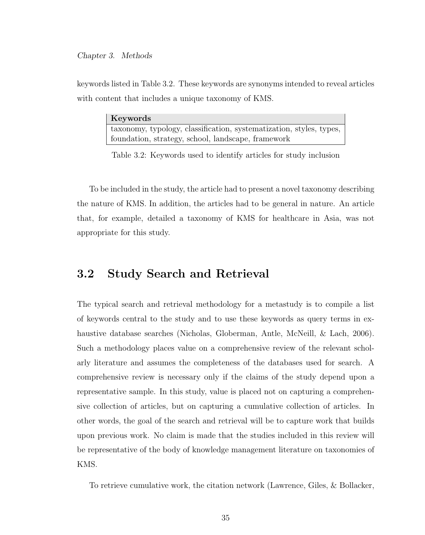## Chapter 3. Methods

keywords listed in Table 3.2. These keywords are synonyms intended to reveal articles with content that includes a unique taxonomy of KMS.

| Keywords                                                            |
|---------------------------------------------------------------------|
| taxonomy, typology, classification, systematization, styles, types, |
| foundation, strategy, school, landscape, framework                  |

Table 3.2: Keywords used to identify articles for study inclusion

To be included in the study, the article had to present a novel taxonomy describing the nature of KMS. In addition, the articles had to be general in nature. An article that, for example, detailed a taxonomy of KMS for healthcare in Asia, was not appropriate for this study.

# 3.2 Study Search and Retrieval

The typical search and retrieval methodology for a metastudy is to compile a list of keywords central to the study and to use these keywords as query terms in exhaustive database searches (Nicholas, Globerman, Antle, McNeill, & Lach, 2006). Such a methodology places value on a comprehensive review of the relevant scholarly literature and assumes the completeness of the databases used for search. A comprehensive review is necessary only if the claims of the study depend upon a representative sample. In this study, value is placed not on capturing a comprehensive collection of articles, but on capturing a cumulative collection of articles. In other words, the goal of the search and retrieval will be to capture work that builds upon previous work. No claim is made that the studies included in this review will be representative of the body of knowledge management literature on taxonomies of KMS.

To retrieve cumulative work, the citation network (Lawrence, Giles, & Bollacker,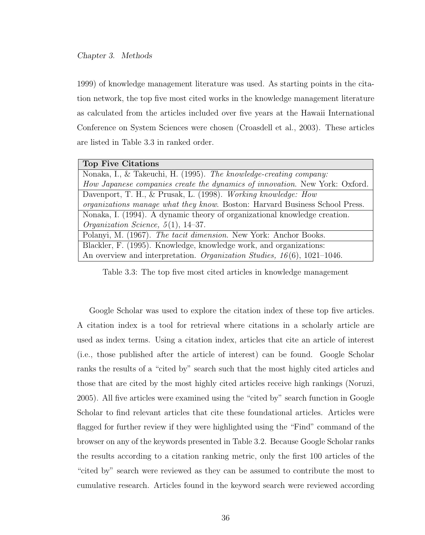## Chapter 3. Methods

1999) of knowledge management literature was used. As starting points in the citation network, the top five most cited works in the knowledge management literature as calculated from the articles included over five years at the Hawaii International Conference on System Sciences were chosen (Croasdell et al., 2003). These articles are listed in Table 3.3 in ranked order.

|  | Top Five Citations |
|--|--------------------|
|--|--------------------|

| Nonaka, I., & Takeuchi, H. (1995). The knowledge-creating company:                 |
|------------------------------------------------------------------------------------|
| How Japanese companies create the dynamics of innovation. New York: Oxford.        |
| Davenport, T. H., & Prusak, L. (1998). Working knowledge: How                      |
| <i>organizations manage what they know.</i> Boston: Harvard Business School Press. |
| Nonaka, I. (1994). A dynamic theory of organizational knowledge creation.          |
| <i>Organization Science</i> , $5(1)$ , 14-37.                                      |
| Polanyi, M. (1967). The tacit dimension. New York: Anchor Books.                   |
| Blackler, F. (1995). Knowledge, knowledge work, and organizations:                 |
| An overview and interpretation. Organization Studies, $16(6)$ , 1021-1046.         |
|                                                                                    |

Table 3.3: The top five most cited articles in knowledge management

Google Scholar was used to explore the citation index of these top five articles. A citation index is a tool for retrieval where citations in a scholarly article are used as index terms. Using a citation index, articles that cite an article of interest (i.e., those published after the article of interest) can be found. Google Scholar ranks the results of a "cited by" search such that the most highly cited articles and those that are cited by the most highly cited articles receive high rankings (Noruzi, 2005). All five articles were examined using the "cited by" search function in Google Scholar to find relevant articles that cite these foundational articles. Articles were flagged for further review if they were highlighted using the "Find" command of the browser on any of the keywords presented in Table 3.2. Because Google Scholar ranks the results according to a citation ranking metric, only the first 100 articles of the "cited by" search were reviewed as they can be assumed to contribute the most to cumulative research. Articles found in the keyword search were reviewed according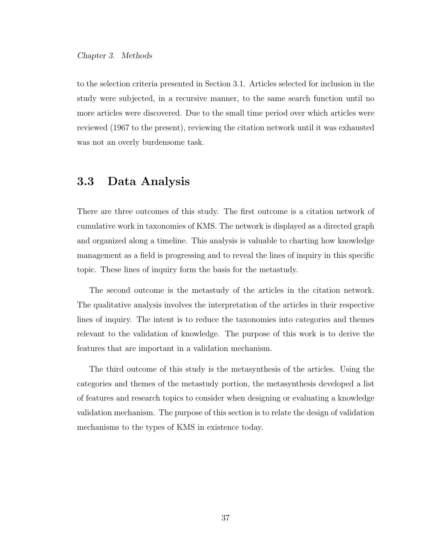to the selection criteria presented in Section 3.1. Articles selected for inclusion in the study were subjected, in a recursive manner, to the same search function until no more articles were discovered. Due to the small time period over which articles were reviewed (1967 to the present), reviewing the citation network until it was exhausted was not an overly burdensome task.

# 3.3 Data Analysis

There are three outcomes of this study. The first outcome is a citation network of cumulative work in taxonomies of KMS. The network is displayed as a directed graph and organized along a timeline. This analysis is valuable to charting how knowledge management as a field is progressing and to reveal the lines of inquiry in this specific topic. These lines of inquiry form the basis for the metastudy.

The second outcome is the metastudy of the articles in the citation network. The qualitative analysis involves the interpretation of the articles in their respective lines of inquiry. The intent is to reduce the taxonomies into categories and themes relevant to the validation of knowledge. The purpose of this work is to derive the features that are important in a validation mechanism.

The third outcome of this study is the metasynthesis of the articles. Using the categories and themes of the metastudy portion, the metasynthesis developed a list of features and research topics to consider when designing or evaluating a knowledge validation mechanism. The purpose of this section is to relate the design of validation mechanisms to the types of KMS in existence today.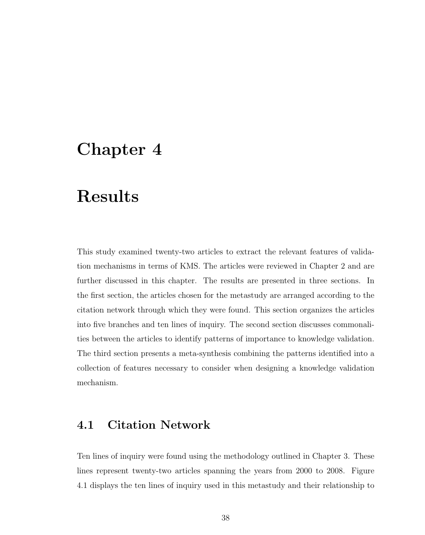# Chapter 4

# Results

This study examined twenty-two articles to extract the relevant features of validation mechanisms in terms of KMS. The articles were reviewed in Chapter 2 and are further discussed in this chapter. The results are presented in three sections. In the first section, the articles chosen for the metastudy are arranged according to the citation network through which they were found. This section organizes the articles into five branches and ten lines of inquiry. The second section discusses commonalities between the articles to identify patterns of importance to knowledge validation. The third section presents a meta-synthesis combining the patterns identified into a collection of features necessary to consider when designing a knowledge validation mechanism.

# 4.1 Citation Network

Ten lines of inquiry were found using the methodology outlined in Chapter 3. These lines represent twenty-two articles spanning the years from 2000 to 2008. Figure 4.1 displays the ten lines of inquiry used in this metastudy and their relationship to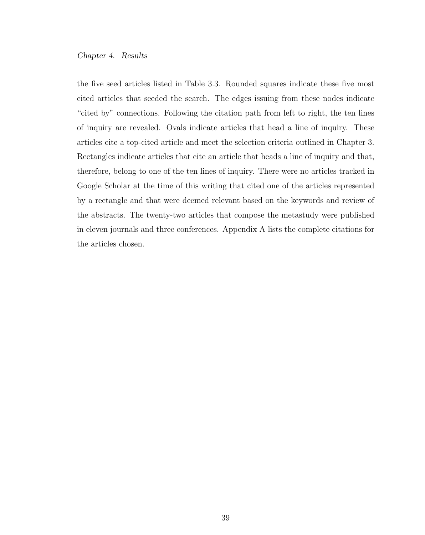the five seed articles listed in Table 3.3. Rounded squares indicate these five most cited articles that seeded the search. The edges issuing from these nodes indicate "cited by" connections. Following the citation path from left to right, the ten lines of inquiry are revealed. Ovals indicate articles that head a line of inquiry. These articles cite a top-cited article and meet the selection criteria outlined in Chapter 3. Rectangles indicate articles that cite an article that heads a line of inquiry and that, therefore, belong to one of the ten lines of inquiry. There were no articles tracked in Google Scholar at the time of this writing that cited one of the articles represented by a rectangle and that were deemed relevant based on the keywords and review of the abstracts. The twenty-two articles that compose the metastudy were published in eleven journals and three conferences. Appendix A lists the complete citations for the articles chosen.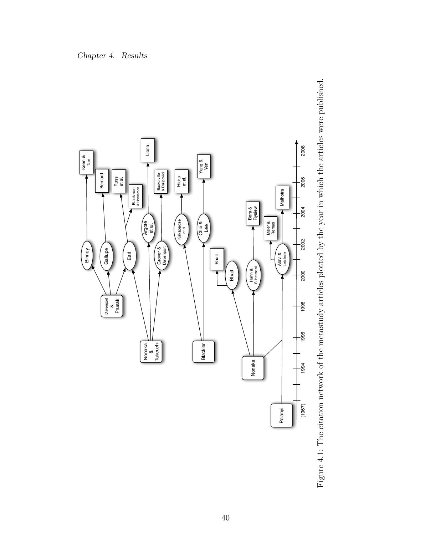

Figure 4.1: The citation network of the metastudy articles plotted by the year in which the articles were published. Figure 4.1: The citation network of the metastudy articles plotted by the year in which the articles were published.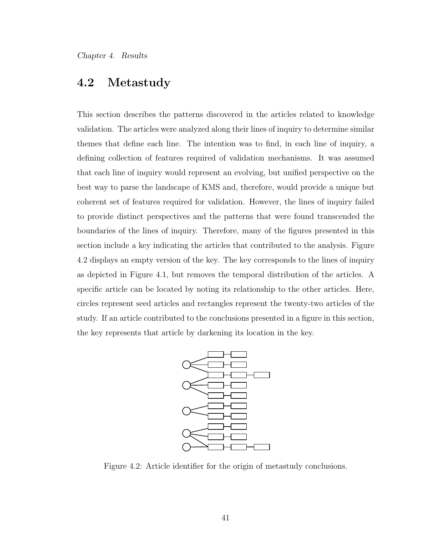# 4.2 Metastudy

This section describes the patterns discovered in the articles related to knowledge validation. The articles were analyzed along their lines of inquiry to determine similar themes that define each line. The intention was to find, in each line of inquiry, a defining collection of features required of validation mechanisms. It was assumed that each line of inquiry would represent an evolving, but unified perspective on the best way to parse the landscape of KMS and, therefore, would provide a unique but coherent set of features required for validation. However, the lines of inquiry failed to provide distinct perspectives and the patterns that were found transcended the boundaries of the lines of inquiry. Therefore, many of the figures presented in this section include a key indicating the articles that contributed to the analysis. Figure 4.2 displays an empty version of the key. The key corresponds to the lines of inquiry as depicted in Figure 4.1, but removes the temporal distribution of the articles. A specific article can be located by noting its relationship to the other articles. Here, circles represent seed articles and rectangles represent the twenty-two articles of the study. If an article contributed to the conclusions presented in a figure in this section, the key represents that article by darkening its location in the key.



Figure 4.2: Article identifier for the origin of metastudy conclusions.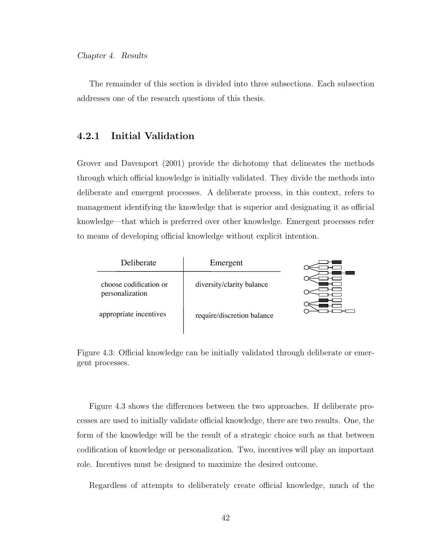The remainder of this section is divided into three subsections. Each subsection addresses one of the research questions of this thesis.

## 4.2.1 Initial Validation

Grover and Davenport (2001) provide the dichotomy that delineates the methods through which official knowledge is initially validated. They divide the methods into deliberate and emergent processes. A deliberate process, in this context, refers to management identifying the knowledge that is superior and designating it as official knowledge—that which is preferred over other knowledge. Emergent processes refer to means of developing official knowledge without explicit intention.

| Deliberate                                | Emergent                   |  |
|-------------------------------------------|----------------------------|--|
| choose codification or<br>personalization | diversity/clarity balance  |  |
| appropriate incentives                    | require/discretion balance |  |

Figure 4.3: Official knowledge can be initially validated through deliberate or emergent processes.

Figure 4.3 shows the differences between the two approaches. If deliberate processes are used to initially validate official knowledge, there are two results. One, the form of the knowledge will be the result of a strategic choice such as that between codification of knowledge or personalization. Two, incentives will play an important role. Incentives must be designed to maximize the desired outcome.

Regardless of attempts to deliberately create official knowledge, much of the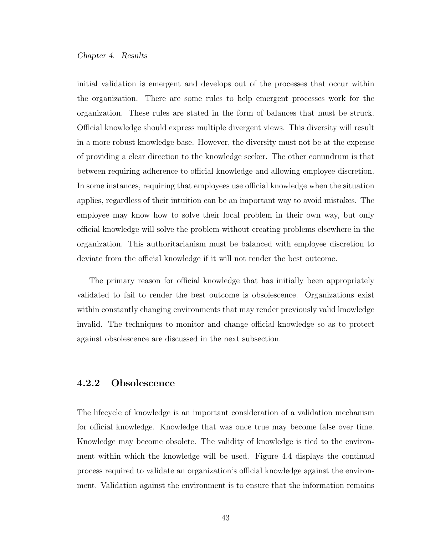initial validation is emergent and develops out of the processes that occur within the organization. There are some rules to help emergent processes work for the organization. These rules are stated in the form of balances that must be struck. Official knowledge should express multiple divergent views. This diversity will result in a more robust knowledge base. However, the diversity must not be at the expense of providing a clear direction to the knowledge seeker. The other conundrum is that between requiring adherence to official knowledge and allowing employee discretion. In some instances, requiring that employees use official knowledge when the situation applies, regardless of their intuition can be an important way to avoid mistakes. The employee may know how to solve their local problem in their own way, but only official knowledge will solve the problem without creating problems elsewhere in the organization. This authoritarianism must be balanced with employee discretion to deviate from the official knowledge if it will not render the best outcome.

The primary reason for official knowledge that has initially been appropriately validated to fail to render the best outcome is obsolescence. Organizations exist within constantly changing environments that may render previously valid knowledge invalid. The techniques to monitor and change official knowledge so as to protect against obsolescence are discussed in the next subsection.

## 4.2.2 Obsolescence

The lifecycle of knowledge is an important consideration of a validation mechanism for official knowledge. Knowledge that was once true may become false over time. Knowledge may become obsolete. The validity of knowledge is tied to the environment within which the knowledge will be used. Figure 4.4 displays the continual process required to validate an organization's official knowledge against the environment. Validation against the environment is to ensure that the information remains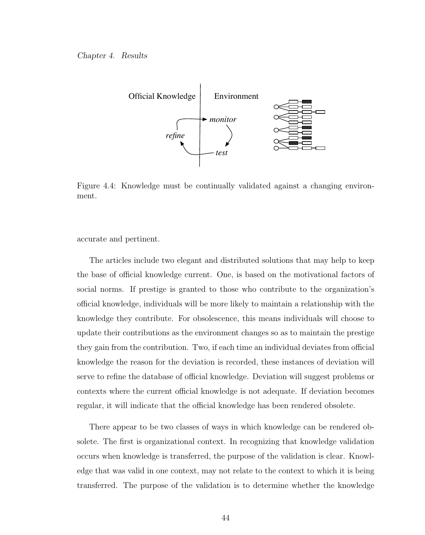

Figure 4.4: Knowledge must be continually validated against a changing environment.

accurate and pertinent.

The articles include two elegant and distributed solutions that may help to keep the base of official knowledge current. One, is based on the motivational factors of social norms. If prestige is granted to those who contribute to the organization's official knowledge, individuals will be more likely to maintain a relationship with the knowledge they contribute. For obsolescence, this means individuals will choose to update their contributions as the environment changes so as to maintain the prestige they gain from the contribution. Two, if each time an individual deviates from official knowledge the reason for the deviation is recorded, these instances of deviation will serve to refine the database of official knowledge. Deviation will suggest problems or contexts where the current official knowledge is not adequate. If deviation becomes regular, it will indicate that the official knowledge has been rendered obsolete.

There appear to be two classes of ways in which knowledge can be rendered obsolete. The first is organizational context. In recognizing that knowledge validation occurs when knowledge is transferred, the purpose of the validation is clear. Knowledge that was valid in one context, may not relate to the context to which it is being transferred. The purpose of the validation is to determine whether the knowledge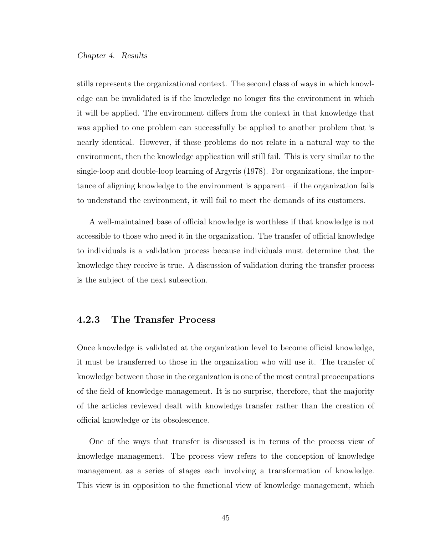stills represents the organizational context. The second class of ways in which knowledge can be invalidated is if the knowledge no longer fits the environment in which it will be applied. The environment differs from the context in that knowledge that was applied to one problem can successfully be applied to another problem that is nearly identical. However, if these problems do not relate in a natural way to the environment, then the knowledge application will still fail. This is very similar to the single-loop and double-loop learning of Argyris (1978). For organizations, the importance of aligning knowledge to the environment is apparent—if the organization fails to understand the environment, it will fail to meet the demands of its customers.

A well-maintained base of official knowledge is worthless if that knowledge is not accessible to those who need it in the organization. The transfer of official knowledge to individuals is a validation process because individuals must determine that the knowledge they receive is true. A discussion of validation during the transfer process is the subject of the next subsection.

## 4.2.3 The Transfer Process

Once knowledge is validated at the organization level to become official knowledge, it must be transferred to those in the organization who will use it. The transfer of knowledge between those in the organization is one of the most central preoccupations of the field of knowledge management. It is no surprise, therefore, that the majority of the articles reviewed dealt with knowledge transfer rather than the creation of official knowledge or its obsolescence.

One of the ways that transfer is discussed is in terms of the process view of knowledge management. The process view refers to the conception of knowledge management as a series of stages each involving a transformation of knowledge. This view is in opposition to the functional view of knowledge management, which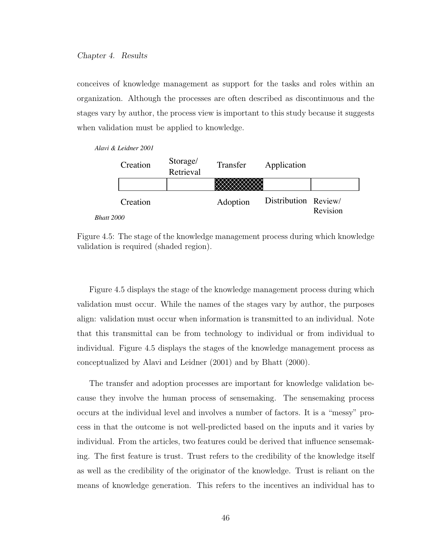conceives of knowledge management as support for the tasks and roles within an organization. Although the processes are often described as discontinuous and the stages vary by author, the process view is important to this study because it suggests when validation must be applied to knowledge.

*Alavi & Leidner 2001*

|            | Creation | Storage/<br>Retrieval | Transfer | Application          |          |
|------------|----------|-----------------------|----------|----------------------|----------|
|            |          |                       |          |                      |          |
|            | Creation |                       | Adoption | Distribution Review/ | Revision |
| Bhatt 2000 |          |                       |          |                      |          |

Figure 4.5: The stage of the knowledge management process during which knowledge validation is required (shaded region).

Figure 4.5 displays the stage of the knowledge management process during which validation must occur. While the names of the stages vary by author, the purposes align: validation must occur when information is transmitted to an individual. Note that this transmittal can be from technology to individual or from individual to individual. Figure 4.5 displays the stages of the knowledge management process as conceptualized by Alavi and Leidner (2001) and by Bhatt (2000).

The transfer and adoption processes are important for knowledge validation because they involve the human process of sensemaking. The sensemaking process occurs at the individual level and involves a number of factors. It is a "messy" process in that the outcome is not well-predicted based on the inputs and it varies by individual. From the articles, two features could be derived that influence sensemaking. The first feature is trust. Trust refers to the credibility of the knowledge itself as well as the credibility of the originator of the knowledge. Trust is reliant on the means of knowledge generation. This refers to the incentives an individual has to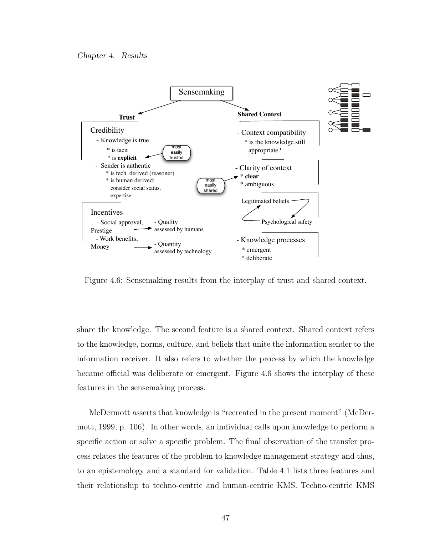

Figure 4.6: Sensemaking results from the interplay of trust and shared context.

share the knowledge. The second feature is a shared context. Shared context refers to the knowledge, norms, culture, and beliefs that unite the information sender to the information receiver. It also refers to whether the process by which the knowledge became official was deliberate or emergent. Figure 4.6 shows the interplay of these features in the sensemaking process.

McDermott asserts that knowledge is "recreated in the present moment" (McDermott, 1999, p. 106). In other words, an individual calls upon knowledge to perform a specific action or solve a specific problem. The final observation of the transfer process relates the features of the problem to knowledge management strategy and thus, to an epistemology and a standard for validation. Table 4.1 lists three features and their relationship to techno-centric and human-centric KMS. Techno-centric KMS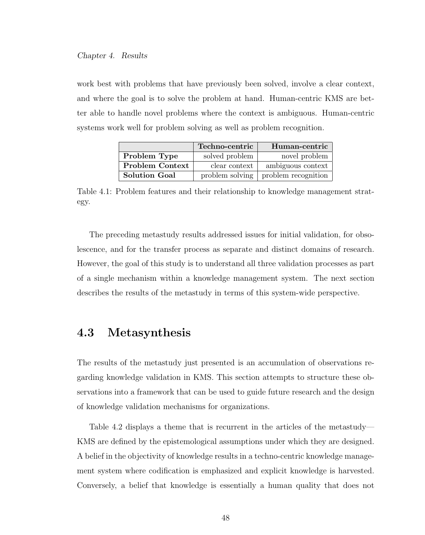work best with problems that have previously been solved, involve a clear context, and where the goal is to solve the problem at hand. Human-centric KMS are better able to handle novel problems where the context is ambiguous. Human-centric systems work well for problem solving as well as problem recognition.

|                        | Techno-centric  | Human-centric       |
|------------------------|-----------------|---------------------|
| Problem Type           | solved problem  | novel problem       |
| <b>Problem Context</b> | clear context   | ambiguous context   |
| <b>Solution Goal</b>   | problem solving | problem recognition |

Table 4.1: Problem features and their relationship to knowledge management strategy.

The preceding metastudy results addressed issues for initial validation, for obsolescence, and for the transfer process as separate and distinct domains of research. However, the goal of this study is to understand all three validation processes as part of a single mechanism within a knowledge management system. The next section describes the results of the metastudy in terms of this system-wide perspective.

# 4.3 Metasynthesis

The results of the metastudy just presented is an accumulation of observations regarding knowledge validation in KMS. This section attempts to structure these observations into a framework that can be used to guide future research and the design of knowledge validation mechanisms for organizations.

Table 4.2 displays a theme that is recurrent in the articles of the metastudy— KMS are defined by the epistemological assumptions under which they are designed. A belief in the objectivity of knowledge results in a techno-centric knowledge management system where codification is emphasized and explicit knowledge is harvested. Conversely, a belief that knowledge is essentially a human quality that does not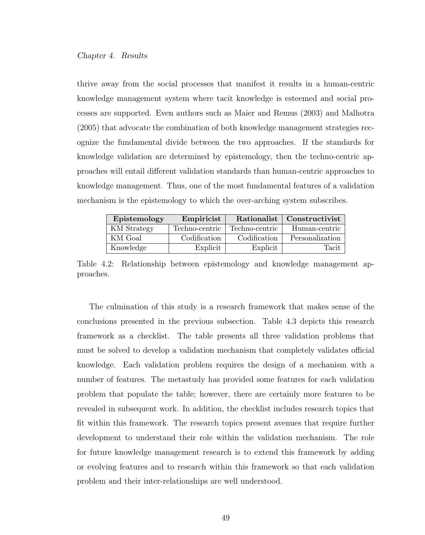thrive away from the social processes that manifest it results in a human-centric knowledge management system where tacit knowledge is esteemed and social processes are supported. Even authors such as Maier and Remus (2003) and Malhotra (2005) that advocate the combination of both knowledge management strategies recognize the fundamental divide between the two approaches. If the standards for knowledge validation are determined by epistemology, then the techno-centric approaches will entail different validation standards than human-centric approaches to knowledge management. Thus, one of the most fundamental features of a validation mechanism is the epistemology to which the over-arching system subscribes.

| Epistemology       | Empiricist     | Rationalist    | Constructivist  |
|--------------------|----------------|----------------|-----------------|
| <b>KM</b> Strategy | Techno-centric | Techno-centric | Human-centric   |
| KM Goal            | Codification   | Codification   | Personalization |
| Knowledge          | Explicit       | Explicit       | Tacit           |

Table 4.2: Relationship between epistemology and knowledge management approaches.

The culmination of this study is a research framework that makes sense of the conclusions presented in the previous subsection. Table 4.3 depicts this research framework as a checklist. The table presents all three validation problems that must be solved to develop a validation mechanism that completely validates official knowledge. Each validation problem requires the design of a mechanism with a number of features. The metastudy has provided some features for each validation problem that populate the table; however, there are certainly more features to be revealed in subsequent work. In addition, the checklist includes research topics that fit within this framework. The research topics present avenues that require further development to understand their role within the validation mechanism. The role for future knowledge management research is to extend this framework by adding or evolving features and to research within this framework so that each validation problem and their inter-relationships are well understood.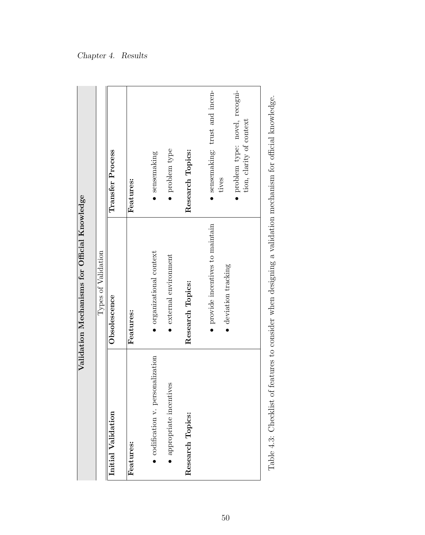| Validation Mechanisms for Official Knowledge | Types of Validation | Transfer Process   | Features:        | sensemaking                     | • problem type                     | Research Topics: | sensemaking: trust and incen-<br>• problem type: novel, recogni-<br>tion, clarity of context<br>tives |  |
|----------------------------------------------|---------------------|--------------------|------------------|---------------------------------|------------------------------------|------------------|-------------------------------------------------------------------------------------------------------|--|
|                                              |                     | Obsolescence       | <b>Features:</b> | organizational context          | $\bullet$ external environment     | Research Topics: | $\bullet$ provide incentives to maintain<br>· deviation tracking                                      |  |
|                                              |                     | Initial Validation | Features:        | codification v. personalization | <b>IVes</b><br>appropriate incenti | Research Topics: |                                                                                                       |  |

Table 4.3: Checklist of features to consider when designing a validation mechanism for official knowledge. Table 4.3: Checklist of features to consider when designing a validation mechanism for official knowledge.

# Chapter 4. Results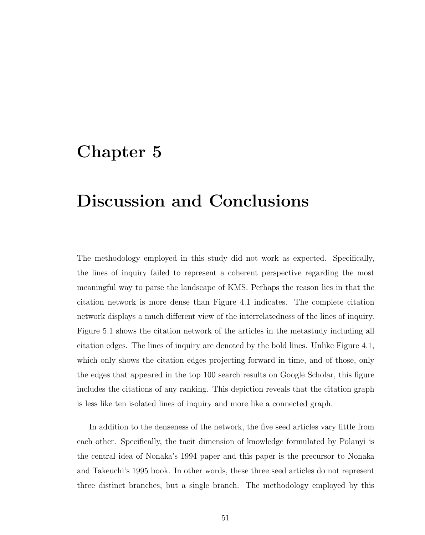# Chapter 5

# Discussion and Conclusions

The methodology employed in this study did not work as expected. Specifically, the lines of inquiry failed to represent a coherent perspective regarding the most meaningful way to parse the landscape of KMS. Perhaps the reason lies in that the citation network is more dense than Figure 4.1 indicates. The complete citation network displays a much different view of the interrelatedness of the lines of inquiry. Figure 5.1 shows the citation network of the articles in the metastudy including all citation edges. The lines of inquiry are denoted by the bold lines. Unlike Figure 4.1, which only shows the citation edges projecting forward in time, and of those, only the edges that appeared in the top 100 search results on Google Scholar, this figure includes the citations of any ranking. This depiction reveals that the citation graph is less like ten isolated lines of inquiry and more like a connected graph.

In addition to the denseness of the network, the five seed articles vary little from each other. Specifically, the tacit dimension of knowledge formulated by Polanyi is the central idea of Nonaka's 1994 paper and this paper is the precursor to Nonaka and Takeuchi's 1995 book. In other words, these three seed articles do not represent three distinct branches, but a single branch. The methodology employed by this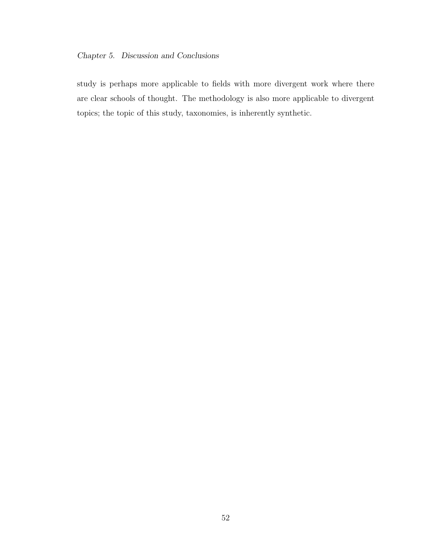## Chapter 5. Discussion and Conclusions

study is perhaps more applicable to fields with more divergent work where there are clear schools of thought. The methodology is also more applicable to divergent topics; the topic of this study, taxonomies, is inherently synthetic.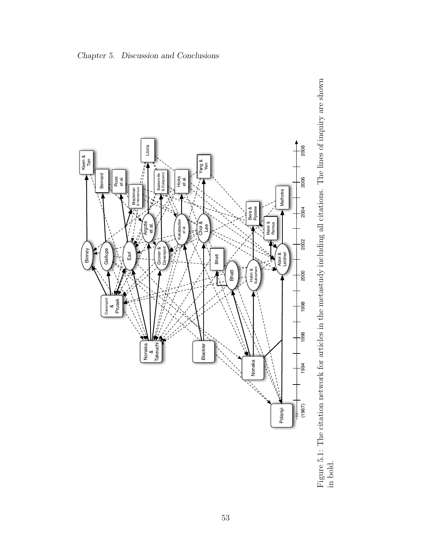

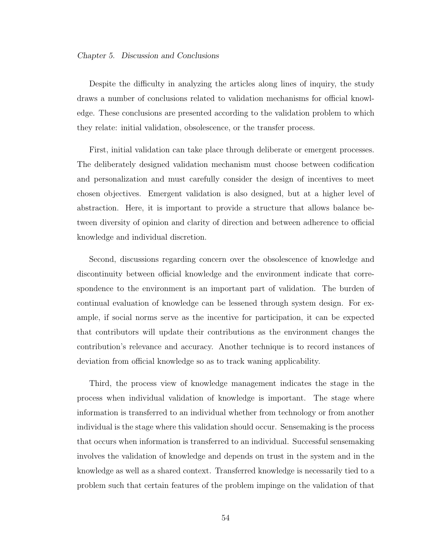## Chapter 5. Discussion and Conclusions

Despite the difficulty in analyzing the articles along lines of inquiry, the study draws a number of conclusions related to validation mechanisms for official knowledge. These conclusions are presented according to the validation problem to which they relate: initial validation, obsolescence, or the transfer process.

First, initial validation can take place through deliberate or emergent processes. The deliberately designed validation mechanism must choose between codification and personalization and must carefully consider the design of incentives to meet chosen objectives. Emergent validation is also designed, but at a higher level of abstraction. Here, it is important to provide a structure that allows balance between diversity of opinion and clarity of direction and between adherence to official knowledge and individual discretion.

Second, discussions regarding concern over the obsolescence of knowledge and discontinuity between official knowledge and the environment indicate that correspondence to the environment is an important part of validation. The burden of continual evaluation of knowledge can be lessened through system design. For example, if social norms serve as the incentive for participation, it can be expected that contributors will update their contributions as the environment changes the contribution's relevance and accuracy. Another technique is to record instances of deviation from official knowledge so as to track waning applicability.

Third, the process view of knowledge management indicates the stage in the process when individual validation of knowledge is important. The stage where information is transferred to an individual whether from technology or from another individual is the stage where this validation should occur. Sensemaking is the process that occurs when information is transferred to an individual. Successful sensemaking involves the validation of knowledge and depends on trust in the system and in the knowledge as well as a shared context. Transferred knowledge is necessarily tied to a problem such that certain features of the problem impinge on the validation of that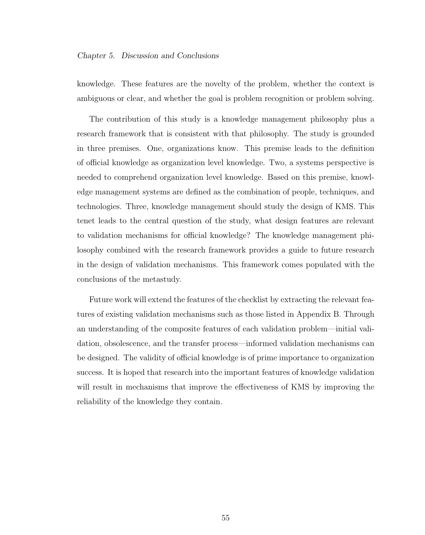## Chapter 5. Discussion and Conclusions

knowledge. These features are the novelty of the problem, whether the context is ambiguous or clear, and whether the goal is problem recognition or problem solving.

The contribution of this study is a knowledge management philosophy plus a research framework that is consistent with that philosophy. The study is grounded in three premises. One, organizations know. This premise leads to the definition of official knowledge as organization level knowledge. Two, a systems perspective is needed to comprehend organization level knowledge. Based on this premise, knowledge management systems are defined as the combination of people, techniques, and technologies. Three, knowledge management should study the design of KMS. This tenet leads to the central question of the study, what design features are relevant to validation mechanisms for official knowledge? The knowledge management philosophy combined with the research framework provides a guide to future research in the design of validation mechanisms. This framework comes populated with the conclusions of the metastudy.

Future work will extend the features of the checklist by extracting the relevant features of existing validation mechanisms such as those listed in Appendix B. Through an understanding of the composite features of each validation problem—initial validation, obsolescence, and the transfer process—informed validation mechanisms can be designed. The validity of official knowledge is of prime importance to organization success. It is hoped that research into the important features of knowledge validation will result in mechanisms that improve the effectiveness of KMS by improving the reliability of the knowledge they contain.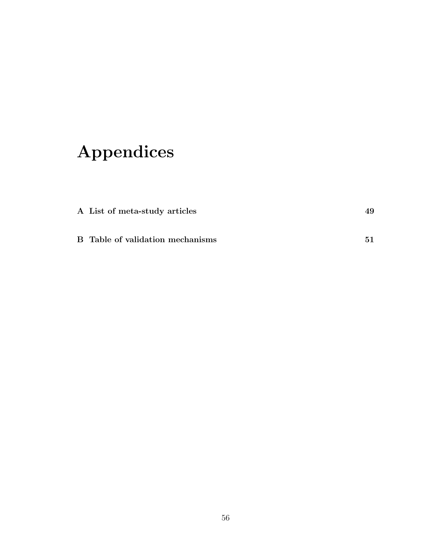# Appendices

| A List of meta-study articles    |    |
|----------------------------------|----|
| B Table of validation mechanisms | 51 |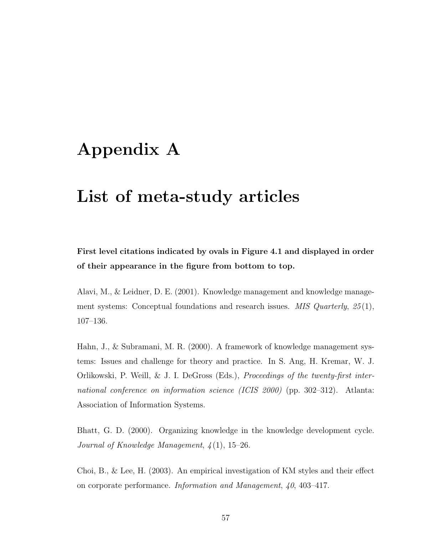# Appendix A

# List of meta-study articles

First level citations indicated by ovals in Figure 4.1 and displayed in order of their appearance in the figure from bottom to top.

Alavi, M., & Leidner, D. E. (2001). Knowledge management and knowledge management systems: Conceptual foundations and research issues. MIS Quarterly,  $25(1)$ , 107–136.

Hahn, J., & Subramani, M. R. (2000). A framework of knowledge management systems: Issues and challenge for theory and practice. In S. Ang, H. Kremar, W. J. Orlikowski, P. Weill, & J. I. DeGross (Eds.), Proceedings of the twenty-first international conference on information science (ICIS 2000) (pp. 302–312). Atlanta: Association of Information Systems.

Bhatt, G. D. (2000). Organizing knowledge in the knowledge development cycle. Journal of Knowledge Management,  $\frac{1}{4}(1)$ , 15–26.

Choi, B., & Lee, H. (2003). An empirical investigation of KM styles and their effect on corporate performance. Information and Management, 40, 403–417.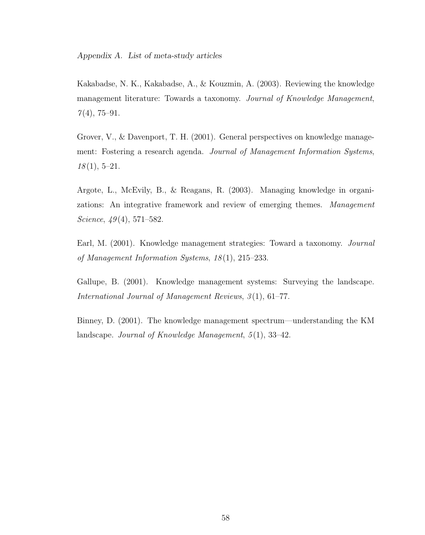Kakabadse, N. K., Kakabadse, A., & Kouzmin, A. (2003). Reviewing the knowledge management literature: Towards a taxonomy. Journal of Knowledge Management,  $7(4)$ , 75-91.

Grover, V., & Davenport, T. H. (2001). General perspectives on knowledge management: Fostering a research agenda. Journal of Management Information Systems,  $18(1), 5-21.$ 

Argote, L., McEvily, B., & Reagans, R. (2003). Managing knowledge in organizations: An integrative framework and review of emerging themes. Management Science,  $49(4)$ , 571–582.

Earl, M. (2001). Knowledge management strategies: Toward a taxonomy. Journal of Management Information Systems,  $18(1)$ ,  $215-233$ .

Gallupe, B. (2001). Knowledge management systems: Surveying the landscape. International Journal of Management Reviews,  $3(1)$ , 61-77.

Binney, D. (2001). The knowledge management spectrum—understanding the KM landscape. Journal of Knowledge Management,  $5(1)$ , 33-42.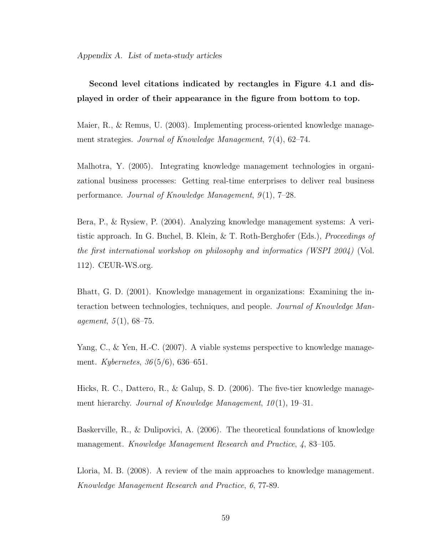# Second level citations indicated by rectangles in Figure 4.1 and displayed in order of their appearance in the figure from bottom to top.

Maier, R., & Remus, U. (2003). Implementing process-oriented knowledge management strategies. Journal of Knowledge Management, 7(4), 62–74.

Malhotra, Y. (2005). Integrating knowledge management technologies in organizational business processes: Getting real-time enterprises to deliver real business performance. Journal of Knowledge Management,  $9(1)$ ,  $7-28$ .

Bera, P., & Rysiew, P. (2004). Analyzing knowledge management systems: A veritistic approach. In G. Buchel, B. Klein, & T. Roth-Berghofer (Eds.), Proceedings of the first international workshop on philosophy and informatics (WSPI 2004) (Vol. 112). CEUR-WS.org.

Bhatt, G. D. (2001). Knowledge management in organizations: Examining the interaction between technologies, techniques, and people. Journal of Knowledge Management,  $5(1)$ , 68–75.

Yang, C., & Yen, H.-C. (2007). A viable systems perspective to knowledge management. Kybernetes,  $36(5/6)$ , 636–651.

Hicks, R. C., Dattero, R., & Galup, S. D. (2006). The five-tier knowledge management hierarchy. Journal of Knowledge Management,  $10(1)$ , 19–31.

Baskerville, R., & Dulipovici, A. (2006). The theoretical foundations of knowledge management. Knowledge Management Research and Practice, 4, 83–105.

Lloria, M. B. (2008). A review of the main approaches to knowledge management. Knowledge Management Research and Practice, 6, 77-89.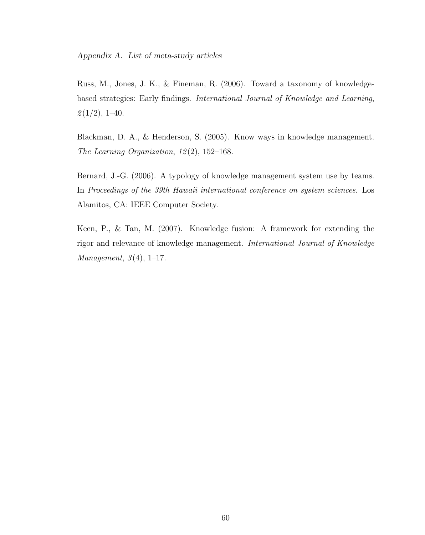Russ, M., Jones, J. K., & Fineman, R. (2006). Toward a taxonomy of knowledgebased strategies: Early findings. International Journal of Knowledge and Learning,  $\mathcal{2}(1/2), 1-40.$ 

Blackman, D. A., & Henderson, S. (2005). Know ways in knowledge management. The Learning Organization,  $12(2)$ , 152-168.

Bernard, J.-G. (2006). A typology of knowledge management system use by teams. In Proceedings of the 39th Hawaii international conference on system sciences. Los Alamitos, CA: IEEE Computer Society.

Keen, P., & Tan, M. (2007). Knowledge fusion: A framework for extending the rigor and relevance of knowledge management. International Journal of Knowledge Management,  $3(4)$ , 1–17.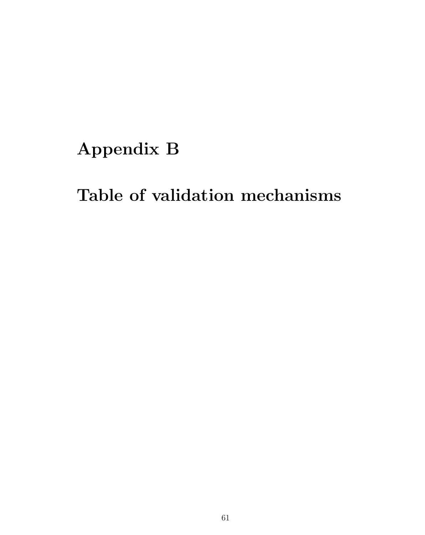# Appendix B

## Table of validation mechanisms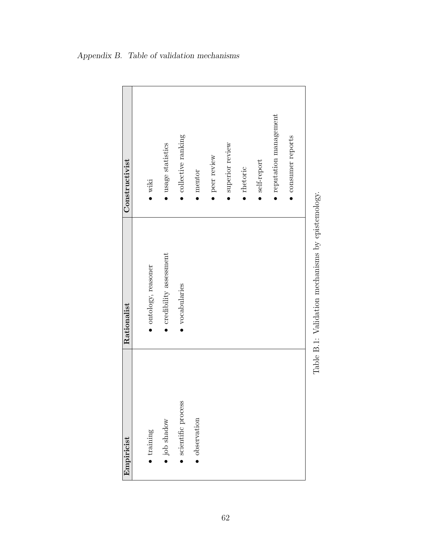| Constructivist | $\bullet$ wiki     | $\bullet$ usage statistics       | $\bullet$ collective ranking | $\bullet$ mentor | · peer review | superior review | $\bullet$ rhetoric | $\bullet$ self-report | $\bullet$ reputation management | • consumer reports |                                                   |
|----------------|--------------------|----------------------------------|------------------------------|------------------|---------------|-----------------|--------------------|-----------------------|---------------------------------|--------------------|---------------------------------------------------|
| Rationalist    | ontology, reasoner | $\bullet$ credibility assessment | vocabularies                 |                  |               |                 |                    |                       |                                 |                    | Table B.1: Validation mechanisms by epistemology. |
| Empiricist     | $\bullet$ training | $\bullet$ job shadow             | scientific process           | observation      |               |                 |                    |                       |                                 |                    |                                                   |

### Appendix B. Table of validation mechanisms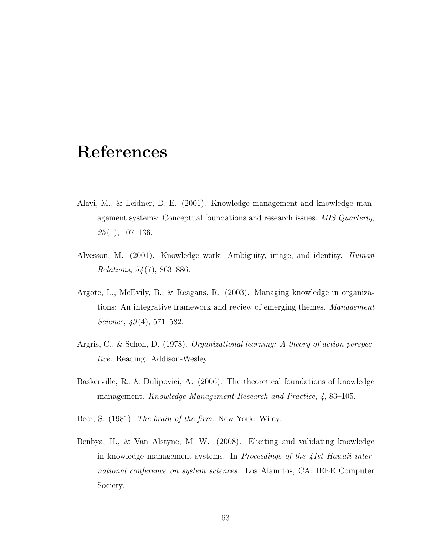### References

- Alavi, M., & Leidner, D. E. (2001). Knowledge management and knowledge management systems: Conceptual foundations and research issues. MIS Quarterly,  $25(1), 107-136.$
- Alvesson, M. (2001). Knowledge work: Ambiguity, image, and identity. Human Relations, 54 (7), 863–886.
- Argote, L., McEvily, B., & Reagans, R. (2003). Managing knowledge in organizations: An integrative framework and review of emerging themes. *Management* Science,  $49(4)$ , 571–582.
- Argris, C., & Schon, D. (1978). Organizational learning: A theory of action perspective. Reading: Addison-Wesley.
- Baskerville, R., & Dulipovici, A. (2006). The theoretical foundations of knowledge management. Knowledge Management Research and Practice, 4, 83–105.
- Beer, S. (1981). The brain of the firm. New York: Wiley.
- Benbya, H., & Van Alstyne, M. W. (2008). Eliciting and validating knowledge in knowledge management systems. In Proceedings of the 41st Hawaii international conference on system sciences. Los Alamitos, CA: IEEE Computer Society.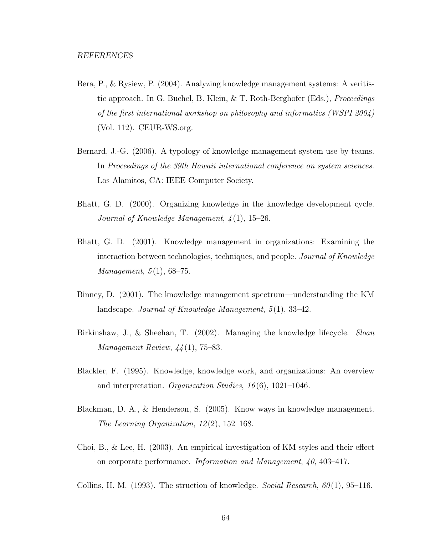- Bera, P., & Rysiew, P. (2004). Analyzing knowledge management systems: A veritistic approach. In G. Buchel, B. Klein, & T. Roth-Berghofer (Eds.), Proceedings of the first international workshop on philosophy and informatics (WSPI 2004) (Vol. 112). CEUR-WS.org.
- Bernard, J.-G. (2006). A typology of knowledge management system use by teams. In Proceedings of the 39th Hawaii international conference on system sciences. Los Alamitos, CA: IEEE Computer Society.
- Bhatt, G. D. (2000). Organizing knowledge in the knowledge development cycle. Journal of Knowledge Management, 4 (1), 15–26.
- Bhatt, G. D. (2001). Knowledge management in organizations: Examining the interaction between technologies, techniques, and people. Journal of Knowledge *Management*,  $5(1)$ ,  $68-75$ .
- Binney, D. (2001). The knowledge management spectrum—understanding the KM landscape. Journal of Knowledge Management,  $5(1)$ , 33-42.
- Birkinshaw, J., & Sheehan, T. (2002). Managing the knowledge lifecycle. Sloan Management Review, 44 (1), 75–83.
- Blackler, F. (1995). Knowledge, knowledge work, and organizations: An overview and interpretation. Organization Studies,  $16(6)$ , 1021–1046.
- Blackman, D. A., & Henderson, S. (2005). Know ways in knowledge management. The Learning Organization,  $12(2)$ ,  $152-168$ .
- Choi, B., & Lee, H. (2003). An empirical investigation of KM styles and their effect on corporate performance. Information and Management, 40, 403–417.

Collins, H. M. (1993). The struction of knowledge. Social Research,  $60(1)$ , 95–116.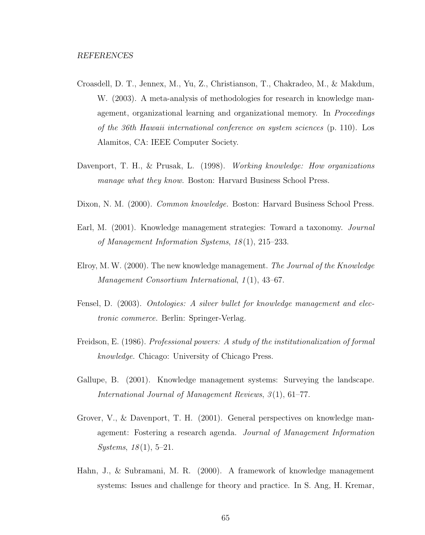- Croasdell, D. T., Jennex, M., Yu, Z., Christianson, T., Chakradeo, M., & Makdum, W. (2003). A meta-analysis of methodologies for research in knowledge management, organizational learning and organizational memory. In Proceedings of the 36th Hawaii international conference on system sciences (p. 110). Los Alamitos, CA: IEEE Computer Society.
- Davenport, T. H., & Prusak, L. (1998). Working knowledge: How organizations manage what they know. Boston: Harvard Business School Press.
- Dixon, N. M. (2000). Common knowledge. Boston: Harvard Business School Press.
- Earl, M. (2001). Knowledge management strategies: Toward a taxonomy. Journal of Management Information Systems, 18 (1), 215–233.
- Elroy, M. W. (2000). The new knowledge management. The Journal of the Knowledge Management Consortium International, 1(1), 43–67.
- Fensel, D. (2003). Ontologies: A silver bullet for knowledge management and electronic commerce. Berlin: Springer-Verlag.
- Freidson, E. (1986). Professional powers: A study of the institutionalization of formal knowledge. Chicago: University of Chicago Press.
- Gallupe, B. (2001). Knowledge management systems: Surveying the landscape. International Journal of Management Reviews, 3(1), 61–77.
- Grover, V., & Davenport, T. H. (2001). General perspectives on knowledge management: Fostering a research agenda. Journal of Management Information  $Systems, 18(1), 5-21.$
- Hahn, J., & Subramani, M. R. (2000). A framework of knowledge management systems: Issues and challenge for theory and practice. In S. Ang, H. Kremar,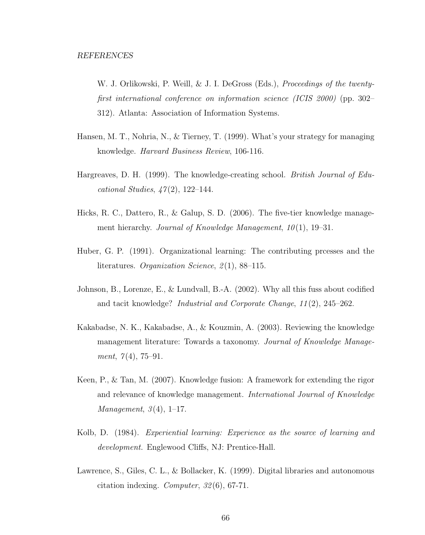W. J. Orlikowski, P. Weill, & J. I. DeGross (Eds.), *Proceedings of the twenty*first international conference on information science (ICIS 2000) (pp. 302– 312). Atlanta: Association of Information Systems.

- Hansen, M. T., Nohria, N., & Tierney, T. (1999). What's your strategy for managing knowledge. Harvard Business Review, 106-116.
- Hargreaves, D. H. (1999). The knowledge-creating school. British Journal of Educational Studies,  $\angle 7(2)$ , 122–144.
- Hicks, R. C., Dattero, R., & Galup, S. D. (2006). The five-tier knowledge management hierarchy. Journal of Knowledge Management,  $10(1)$ , 19–31.
- Huber, G. P. (1991). Organizational learning: The contributing prcesses and the literatures. Organization Science,  $2(1)$ , 88-115.
- Johnson, B., Lorenze, E., & Lundvall, B.-A. (2002). Why all this fuss about codified and tacit knowledge? Industrial and Corporate Change, 11 (2), 245–262.
- Kakabadse, N. K., Kakabadse, A., & Kouzmin, A. (2003). Reviewing the knowledge management literature: Towards a taxonomy. Journal of Knowledge Management,  $7(4)$ , 75-91.
- Keen, P., & Tan, M. (2007). Knowledge fusion: A framework for extending the rigor and relevance of knowledge management. International Journal of Knowledge Management,  $3(4)$ , 1–17.
- Kolb, D. (1984). Experiential learning: Experience as the source of learning and development. Englewood Cliffs, NJ: Prentice-Hall.
- Lawrence, S., Giles, C. L., & Bollacker, K. (1999). Digital libraries and autonomous citation indexing. Computer, 32 (6), 67-71.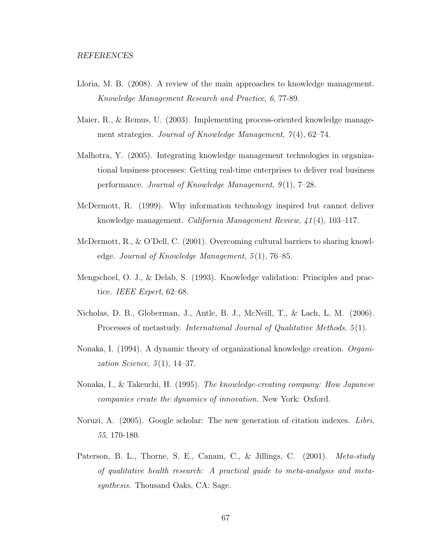- Lloria, M. B. (2008). A review of the main approaches to knowledge management. Knowledge Management Research and Practice, 6, 77-89.
- Maier, R., & Remus, U. (2003). Implementing process-oriented knowledge management strategies. Journal of Knowledge Management,  $7(4)$ , 62–74.
- Malhotra, Y. (2005). Integrating knowledge management technologies in organizational business processes: Getting real-time enterprises to deliver real business performance. Journal of Knowledge Management,  $9(1)$ , 7–28.
- McDermott, R. (1999). Why information technology inspired but cannot deliver knowledge management. California Management Review, 41 (4), 103–117.
- McDermott, R., & O'Dell, C. (2001). Overcoming cultural barriers to sharing knowledge. Journal of Knowledge Management,  $5(1)$ , 76–85.
- Mengschoel, O. J., & Delab, S. (1993). Knowledge validation: Principles and practice. IEEE Expert, 62–68.
- Nicholas, D. B., Globerman, J., Antle, B. J., McNeill, T., & Lach, L. M. (2006). Processes of metastudy. International Journal of Qualitative Methods, 5 (1).
- Nonaka, I. (1994). A dynamic theory of organizational knowledge creation. Organization Science,  $5(1)$ , 14–37.
- Nonaka, I., & Takeuchi, H. (1995). The knowledge-creating company: How Japanese companies create the dynamics of innovation. New York: Oxford.
- Noruzi, A. (2005). Google scholar: The new generation of citation indexes. Libri, 55, 170-180.
- Paterson, B. L., Thorne, S. E., Canam, C., & Jillings, C. (2001). *Meta-study* of qualitative health research: A practical guide to meta-analysis and metasynthesis. Thousand Oaks, CA: Sage.